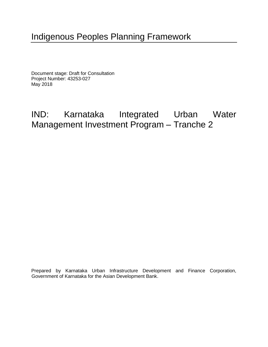# Indigenous Peoples Planning Framework

Document stage: Draft for Consultation Project Number: 43253-027 May 2018

# IND: Karnataka Integrated Urban Water Management Investment Program – Tranche 2

Prepared by Karnataka Urban Infrastructure Development and Finance Corporation, Government of Karnataka for the Asian Development Bank.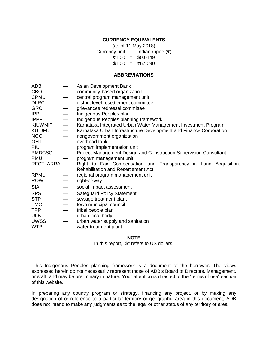#### **CURRENCY EQUIVALENTS**

(as of 11 May 2018)

Currency unit - Indian rupee (₹)

- ₹1.00 = \$0.0149
- $$1.00 = ₹67.090$

#### **ABBREVIATIONS**

| ADB            |                                  | Asian Development Bank                                             |  |  |  |  |  |  |  |
|----------------|----------------------------------|--------------------------------------------------------------------|--|--|--|--|--|--|--|
| <b>CBO</b>     |                                  | community-based organization                                       |  |  |  |  |  |  |  |
| <b>CPMU</b>    |                                  | central program management unit                                    |  |  |  |  |  |  |  |
| <b>DLRC</b>    | $\overline{\phantom{0}}$         | district level resettlement committee                              |  |  |  |  |  |  |  |
| <b>GRC</b>     | $\overline{\phantom{0}}$         | grievances redressal committee                                     |  |  |  |  |  |  |  |
| <b>IPP</b>     | $\overbrace{\phantom{aaaaa}}$    | Indigenous Peoples plan                                            |  |  |  |  |  |  |  |
| <b>IPPF</b>    | $\overline{\phantom{0}}$         | Indigenous Peoples planning framework                              |  |  |  |  |  |  |  |
| <b>KIUWMIP</b> | $\overline{\phantom{0}}$         | Karnataka Integrated Urban Water Management Investment Program     |  |  |  |  |  |  |  |
| <b>KUIDFC</b>  |                                  | Karnataka Urban Infrastructure Development and Finance Corporation |  |  |  |  |  |  |  |
| <b>NGO</b>     | $\overline{\phantom{m}}$         | nongovernment organization                                         |  |  |  |  |  |  |  |
| <b>OHT</b>     |                                  | overhead tank                                                      |  |  |  |  |  |  |  |
| PIU            |                                  | program implementation unit                                        |  |  |  |  |  |  |  |
| <b>PMDCSC</b>  |                                  | Project Management Design and Construction Supervision Consultant  |  |  |  |  |  |  |  |
| <b>PMU</b>     |                                  | program management unit                                            |  |  |  |  |  |  |  |
| RFCTLARRA -    |                                  | Right to Fair Compensation and Transparency in Land Acquisition,   |  |  |  |  |  |  |  |
|                |                                  | <b>Rehabilitation and Resettlement Act</b>                         |  |  |  |  |  |  |  |
| <b>RPMU</b>    |                                  | regional program management unit                                   |  |  |  |  |  |  |  |
| <b>ROW</b>     |                                  | right-of-way                                                       |  |  |  |  |  |  |  |
| SIA            |                                  | social impact assessment                                           |  |  |  |  |  |  |  |
| <b>SPS</b>     | $\overbrace{\phantom{12322111}}$ | <b>Safeguard Policy Statement</b>                                  |  |  |  |  |  |  |  |
| <b>STP</b>     | $\overline{\phantom{m}}$         | sewage treatment plant                                             |  |  |  |  |  |  |  |
| <b>TMC</b>     |                                  | town municipal council                                             |  |  |  |  |  |  |  |
| <b>TPP</b>     |                                  | tribal people plan                                                 |  |  |  |  |  |  |  |
| <b>ULB</b>     |                                  | urban local body                                                   |  |  |  |  |  |  |  |
| <b>UWSS</b>    | $\overbrace{\phantom{12322111}}$ | urban water supply and sanitation                                  |  |  |  |  |  |  |  |
| <b>WTP</b>     | $\overline{\phantom{0}}$         | water treatment plant                                              |  |  |  |  |  |  |  |

#### **NOTE**

In this report, "\$" refers to US dollars.

This Indigenous Peoples planning framework is a document of the borrower. The views expressed herein do not necessarily represent those of ADB's Board of Directors, Management, or staff, and may be preliminary in nature. Your attention is directed to the "terms of use" section of this website.

In preparing any country program or strategy, financing any project, or by making any designation of or reference to a particular territory or geographic area in this document, ADB does not intend to make any judgments as to the legal or other status of any territory or area.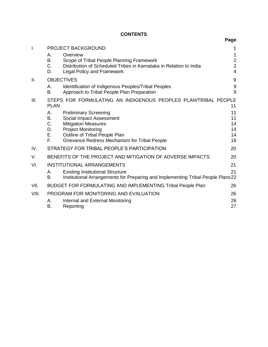# **CONTENTS**

|       |                                  |                                                                                                                                                                                                       | Page                                                    |
|-------|----------------------------------|-------------------------------------------------------------------------------------------------------------------------------------------------------------------------------------------------------|---------------------------------------------------------|
| I.    |                                  | <b>PROJECT BACKGROUND</b>                                                                                                                                                                             | 1                                                       |
|       | А.<br>В.<br>C.<br>D.             | Overview<br>Scope of Tribal People Planning Framework<br>Distribution of Scheduled Tribes in Karnataka in Relation to India<br><b>Legal Policy and Framework</b>                                      | 1<br>$\overline{2}$<br>$\overline{2}$<br>$\overline{4}$ |
| ΙΙ.   |                                  | <b>OBJECTIVES</b>                                                                                                                                                                                     | 9                                                       |
|       | А.<br><b>B.</b>                  | Identification of Indigenous Peoples/Tribal Peoples<br>Approach to Tribal People Plan Preparation                                                                                                     | $9\,$<br>9                                              |
| III.  | <b>PLAN</b>                      | STEPS FOR FORMULATING AN INDIGENOUS PEOPLES PLAN/TRIBAL PEOPLE                                                                                                                                        | 11                                                      |
|       | А.<br>В.<br>C.<br>D.<br>Е.<br>F. | <b>Preliminary Screening</b><br>Social Impact Assessment<br><b>Mitigation Measures</b><br><b>Project Monitoring</b><br>Outline of Tribal People Plan<br>Grievance Redress Mechanism for Tribal People | 11<br>11<br>14<br>14<br>14<br>16                        |
| IV.   |                                  | STRATEGY FOR TRIBAL PEOPLE'S PARTICIPATION                                                                                                                                                            | 20                                                      |
| V.    |                                  | BENEFITS OF THE PROJECT AND MITIGATION OF ADVERSE IMPACTS                                                                                                                                             | 20                                                      |
| VI.   | А.<br>В.                         | <b>INSTITUTIONAL ARRANGEMENTS</b><br><b>Existing Institutional Structure</b><br>Institutional Arrangements for Preparing and Implementing Tribal People Plans22                                       | 21<br>21                                                |
| VII.  |                                  | BUDGET FOR FORMULATING AND IMPLEMENTING Tribal People Plan                                                                                                                                            | 26                                                      |
| VIII. | А.<br><b>B.</b>                  | PROGRAM FOR MONITORING AND EVALUATION<br>Internal and External Monitoring<br>Reporting                                                                                                                | 26<br>26<br>27                                          |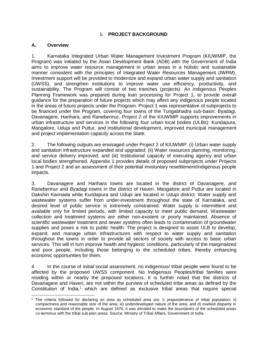#### **I. PROJECT BACKGROUND**

#### <span id="page-4-1"></span><span id="page-4-0"></span>**A. Overview**

1. Karnataka Integrated Urban Water Management Investment Program (KIUWMIP, the Program) was initiated by the Asian Development Bank (ADB) with the Government of India aims to improve water resource management in urban areas in a holistic and sustainable manner consistent with the principles of Integrated Water Resources Management (IWRM). Investment support will be provided to modernize and expand urban water supply and sanitation (UWSS), and strengthen institutions to improve water use efficiency, productivity, and sustainability. The Program will consist of two tranches (projects). An Indigenous Peoples Planning Framework was prepared during loan processing for Project 1, to provide overall guidance for the preparation of future projects which may affect any indigenous people located in the areas of future projects under the Program. Project 1 was representative of subprojects to be financed under the Program, covering four towns of the Tungabhadra sub-basin: Byadagi, Davanagere, Harihara, and Ranebennur. Project 2 of the KIUWMIP supports improvements in urban infrastructure and services in the following four urban local bodies (ULBs): Kundapura, Mangalore, Udupi and Puttur, and institutional development, improved municipal management and project implementation capacity across the State.

2. The following outputs are envisaged under Project 2 of KIUWMIP: (i) Urban water supply and sanitation infrastructure expanded and upgraded; (ii) Water resources planning, monitoring, and service delivery improved; and (iii) Institutional capacity of executing agency and urban local bodies strengthened. Appendix 1 provides details of proposed subprojects under Projects 1 and Project 2 and an assessment of their potential involuntary resettlement/indigenous people impacts.

3. Davanagere and Harihara towns are located in the district of Davanagere, and Ranebennur and Byadagi towns in the district of Haveri. Mangalore and Puttur are located in Dakshin Kannada while Kundapura and Udupi are located in Udupi district. Water supply and wastewater systems suffer from under-investment throughout the state of Karnataka, and desired level of public service is extremely constrained. Water supply is intermittent and available only for limited periods, with limited capacity to meet public demand. Wastewater collection and treatment systems are either non-existent or poorly maintained. Absence of scientific wastewater treatment and sewer systems often leads to contamination of groundwater supplies and poses a risk to public health. The project is designed to assist ULB to develop, expand, and manage urban infrastructures with respect to water supply and sanitation throughout the towns in order to provide all sectors of society with access to basic urban services. This will in turn improve health and hygienic conditions, particularly of the marginalized and poor people, including those belonging to the scheduled tribes, thereby enhancing economic opportunities for them.

4. In the course of initial social assessment, no indigenous/ tribal people were found to be affected by the proposed UWSS component. No Indigenous Peoples/tribal families were residing within or nearby the proposed locations. It is further noted that the districts of Davanagere and Haveri, are not within the purview of scheduled tribe areas as defined by the Constitution of India,<sup>1</sup> which are defined as exclusive tribal areas that require special

 <sup>1</sup> The criteria followed for declaring an area as scheduled area are: i) preponderance of tribal population; ii) compactness and reasonable size of the area; iii) underdeveloped nature of the area; and d) marked disparity in economic standard of the people. In August 1976, it was decided to make the boundaries of the scheduled areas co-terminus with the tribal sub-plan areas. Source: Ministry of Tribal Affairs, Government of India.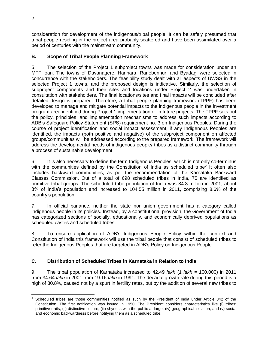consideration for development of the indigenous/tribal people. It can be safely presumed that tribal people residing in the project area probably scattered and have been assimilated over a period of centuries with the mainstream community.

# <span id="page-5-0"></span>**B. Scope of Tribal People Planning Framework**

5. The selection of the Project 1 subproject towns was made for consideration under an MFF loan. The towns of Davanagere, Harihara, Ranebennur, and Byadagi were selected in concurrence with the stakeholders. The feasibility study dealt with all aspects of UWSS in the selected Project 1 towns, and the proposed design is indicative. Similarly, the selection of subproject components and their sites and locations under Project 2 was undertaken in consultation with stakeholders. The final locations/sites and final impacts will be concluded after detailed design is prepared. Therefore, a tribal people planning framework (TPPF) has been developed to manage and mitigate potential impacts to the indigenous people in the investment program area identified during Project 1 implementation or in future projects. The TPPF sets out the policy, principles, and implementation mechanisms to address such impacts according to ADB's Safeguard Policy Statement (SPS) requirement no. 3 on Indigenous Peoples. During the course of project identification and social impact assessment, if any Indigenous Peoples are identified, the impacts (both positive and negative) of the subproject component on affected groups/communities will be addressed according to the prepared framework. The framework will address the developmental needs of indigenous people/ tribes as a distinct community through a process of sustainable development.

6. It is also necessary to define the term Indigenous Peoples, which is not only co-terminus with the communities defined by the Constitution of India as scheduled tribe<sup>2</sup> It often also includes backward communities, as per the recommendation of the Karnataka Backward Classes Commission. Out of a total of 698 scheduled tribes in India, 75 are identified as primitive tribal groups. The scheduled tribe population of India was 84.3 million in 2001, about 8% of India's population and increased to 104.55 million in 2011, comprising 8.6% of the country's population.

7. In official parlance, neither the state nor union government has a category called indigenous people in its policies. Instead, by a constitutional provision, the Government of India has categorized sections of socially, educationally, and economically deprived populations as scheduled castes and scheduled tribes.

8. To ensure application of ADB's Indigenous People Policy within the context and Constitution of India this framework will use the tribal people that consist of scheduled tribes to refer the Indigenous Peoples that are targeted in ADB's Policy on Indigenous People.

# <span id="page-5-1"></span>**C. Distribution of Scheduled Tribes in Karnataka in Relation to India**

9. The tribal population of Karnataka increased to 42.49 *lakh* (1 *lakh* = 100,000) in 2011 from 34.64 *lakh* in 2001 from 19.16 *lakh* in 1991. The decadal growth rate during this period is a high of 80.8%, caused not by a spurt in fertility rates, but by the addition of several new tribes to

 $\overline{a}$ <sup>2</sup> Scheduled tribes are those communities notified as such by the President of India under Article 342 of the Constitution. The first notification was issued in 1950. The President considers characteristics like (i) tribes' primitive traits; (ii) distinctive culture; (iii) shyness with the public at large; (iv) geographical isolation; and (v) social and economic backwardness before notifying them as a scheduled tribe.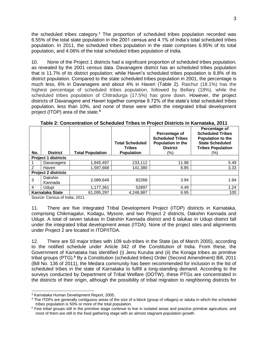the scheduled tribes category.<sup>3</sup> The proportion of scheduled tribes population recorded was 6.55% of the total state population in the 2001 census and 4.1% of India's total scheduled tribes population. In 2011, the scheduled tribes population in the state comprises 6.95% of its total population, and 4.06% of the total scheduled tribes population of India.

10. None of the Project 1 districts had a significant proportion of scheduled tribes population, as revealed by the 2001 census data. Davanagere district has an scheduled tribes population that is 11.7% of its district population; while Haveri's scheduled tribes population is 8.8% of its district population. Compared to the state scheduled tribes population in 2001, the percentage is much less, 6% in Davanagere and about 4% in Haveri (Table 2). Raichur (18.1%) has the highest percentage of scheduled tribes population, followed by Bellary (18%), while the scheduled tribes population of Chitradurga (17.5%) has gone down. However, the project districts of Davanagere and Haveri together comprise 9.72% of the state's total scheduled tribes population, less than 10%, and none of these were within the integrated tribal development project (ITDP) area of the state.**<sup>4</sup>**

| No.                    | <b>District</b>            | <b>Total Population</b> | <b>Total Scheduled</b><br><b>Tribes</b><br><b>Population</b> | Percentage of<br><b>Scheduled Tribes</b><br>Population in the<br><b>District</b><br>(%) | Percentage of<br><b>Scheduled Tribes</b><br>Population to the<br><b>State Scheduled</b><br><b>Tribes Population</b><br>(%) |  |  |  |
|------------------------|----------------------------|-------------------------|--------------------------------------------------------------|-----------------------------------------------------------------------------------------|----------------------------------------------------------------------------------------------------------------------------|--|--|--|
|                        | <b>Project 1 districts</b> |                         |                                                              |                                                                                         |                                                                                                                            |  |  |  |
|                        | Davanagere                 | 1.945.497               | 233,112                                                      | 11.98                                                                                   | 5.49                                                                                                                       |  |  |  |
| 2                      | Haveri                     | 1,597,668               | 141,380                                                      | 8.85                                                                                    | 3.33                                                                                                                       |  |  |  |
|                        | <b>Project 2 districts</b> |                         |                                                              |                                                                                         |                                                                                                                            |  |  |  |
| 3                      | Dakshin<br>Kannada         | 2,089,649               | 82268                                                        | 3.94                                                                                    | 1.94                                                                                                                       |  |  |  |
| 4                      | Udupi                      | 1,177,361               | 52897                                                        | 4.49                                                                                    | 1.24                                                                                                                       |  |  |  |
| <b>Karnataka State</b> |                            | 61,095,297              | 4,248,987                                                    | 6.95                                                                                    | 100                                                                                                                        |  |  |  |

**Table 2: Concentration of Scheduled Tribes in Project Districts in Karnataka, 2011**

Source: Census of India, 2011.

11. There are five Integrated Tribal Development Project (ITDP) districts in Karnataka, comprising Chikmagalur, Kodagu, Mysore, and two Project 2 districts, Dakshin Kannada and Udupi. A total of seven talukas in Dakshin Kannada district and 6 talukas in Udupi district fall under the integrated tribal development areas (ITDA). None of the project sites and alignments under Project 2 are located in ITDP/ITDA.

12. There are 50 major tribes with 109 sub-tribes in the State (as of March 2005), according to the notified schedule under Article 342 of the Constitution of India. From these, the Government of Karnataka has identified (i) Jenu Kuruba and (ii) the Koraga tribes as primitive tribal groups (PTG). **<sup>5</sup>** By a Constitution (scheduled tribes) Order (Second Amendment) Bill, 2011 (Bill No. 136 of 2011), the Medara community has been recommended for inclusion in the list of scheduled tribes in the state of Karnataka to fulfill a long-standing demand. According to the surveys conducted by Department of Tribal Welfare (DOTW), these PTGs are concentrated in the districts of their origin, although the possibility of tribal migration to neighboring districts for

 <sup>3</sup> Karnataka Human Development Report, 2005.

<sup>4</sup> The ITDPs are generally contiguous areas of the size of a block (group of villages) or *taluka* in which the scheduled tribes population is 50% or more of the total population.

<sup>&</sup>lt;sup>5</sup> Few tribal groups still in the primitive stage continue to live in isolated areas and practice primitive agriculture, and most of them are still in the food gathering stage with an almost stagnant population growth.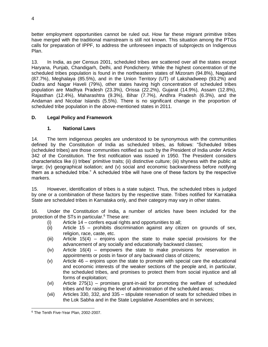better employment opportunities cannot be ruled out. How far these migrant primitive tribes have merged with the traditional mainstream is still not known. This situation among the PTGs calls for preparation of IPPF, to address the unforeseen impacts of subprojects on Indigenous Plan.

13. In India, as per Census 2001, scheduled tribes are scattered over all the states except Haryana, Punjab, Chandigarh, Delhi, and Pondicherry. While the highest concentration of the scheduled tribes population is found in the northeastern states of Mizoram (94.8%), Nagaland (87.7%), Meghalaya (85.5%), and in the Union Territory (UT) of Lakshadweep (93.2%) and Dadra and Nagar Haveli (79%), other states having high concentration of scheduled tribes population are Madhya Pradesh (23.3%), Orissa (22.2%), Gujarat (14.9%), Assam (12.8%), Rajasthan (12.4%), Maharashtra (9.3%), Bihar (7.7%), Andhra Pradesh (6.3%), and the Andaman and Nicobar Islands (5.5%). There is no significant change in the proportion of scheduled tribe population in the above-mentioned states in 2011.

# <span id="page-7-0"></span>**D. Legal Policy and Framework**

#### **1. National Laws**

14. The term indigenous peoples are understood to be synonymous with the communities defined by the Constitution of India as scheduled tribes, as follows: "Scheduled tribes (scheduled tribes) are those communities notified as such by the President of India under Article 342 of the Constitution. The first notification was issued in 1950. The President considers characteristics like (i) tribes' primitive traits; (ii) distinctive culture; (iii) shyness with the public at large; (iv) geographical isolation; and (v) social and economic backwardness before notifying them as a scheduled tribe." A scheduled tribe will have one of these factors by the respective markers.

15. However, identification of tribes is a state subject. Thus, the scheduled tribes is judged by one or a combination of these factors by the respective state. Tribes notified for Karnataka State are scheduled tribes in Karnataka only, and their category may vary in other states.

16. Under the Constitution of India, a number of articles have been included for the protection of the STs in particular.<sup>6</sup> These are:

- (i) Article 14 confers equal rights and opportunities to all;
- (ii) Article 15 prohibits discrimination against any citizen on grounds of sex, religion, race, caste, etc.
- (iii) Article 15(4) enjoins upon the state to make special provisions for the advancement of any socially and educationally backward classes;
- (iv) Article 16(4) empowers the state to make provisions for reservation in appointments or posts in favor of any backward class of citizens;
- (v) Article 46 enjoins upon the state to promote with special care the educational and economic interests of the weaker sections of the people and, in particular, the scheduled tribes, and promises to protect them from social injustice and all forms of exploitation;
- (vi) Article 275(1) promises grant-in-aid for promoting the welfare of scheduled tribes and for raising the level of administration of the scheduled areas;
- (vii) Articles 330, 332, and 335 stipulate reservation of seats for scheduled tribes in the Lok Sabha and in the State Legislative Assemblies and in services;

 $\overline{a}$ <sup>6</sup> The Tenth Five-Year Plan, 2002-2007.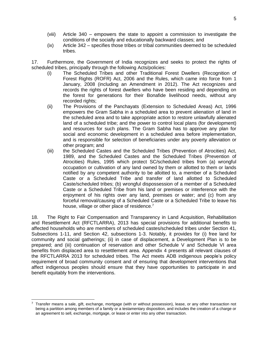- (viii) Article 340 empowers the state to appoint a commission to investigate the conditions of the socially and educationally backward classes; and
- (ix) Article 342 specifies those tribes or tribal communities deemed to be scheduled tribes.

17. Furthermore, the Government of India recognizes and seeks to protect the rights of scheduled tribes, principally through the following Acts/policies:

- (i) The Scheduled Tribes and other Traditional Forest Dwellers (Recognition of Forest Rights (ROFR) Act, 2006 and the Rules, which came into force from 1 January, 2008 (including an Amendment in 2012). The Act recognizes and records the rights of forest dwellers who have been residing and depending on the forest for generations for their Bonafide livelihood needs, without any recorded rights;
- (ii) The Provisions of the Panchayats (Extension to Scheduled Areas) Act, 1996 empowers the Gram Sabha in a scheduled area to prevent alienation of land in the scheduled area and to take appropriate action to restore unlawfully alienated land of a scheduled tribe; and the power to control local plans (for development) and resources for such plans. The Gram Sabha has to approve any plan for social and economic development in a scheduled area before implementation, and is responsible for selection of beneficiaries under any poverty alleviation or other program; and
- (iii) the Scheduled Castes and the Scheduled Tribes (Prevention of Atrocities) Act, 1989, and the Scheduled Castes and the Scheduled Tribes (Prevention of Atrocities) Rules, 1995 which protect SC/scheduled tribes from (a) wrongful occupation or cultivation of any land owned by them or allotted to them or lands notified by any competent authority to be allotted to, a member of a Scheduled Caste or a Scheduled Tribe and transfer of land allotted to Scheduled Caste/scheduled tribes; (b) wrongful dispossession of a member of a Scheduled Caste or a Scheduled Tribe from his land or premises or interference with the enjoyment of his rights over any land, premises or water; and (c) from any forceful removal/causing of a Scheduled Caste or a Scheduled Tribe to leave his house, village or other place of residence.<sup>7</sup>

18. The Right to Fair Compensation and Transparency in Land Acquisition, Rehabilitation and Resettlement Act (RFCTLARRA), 2013 has special provisions for additional benefits to affected households who are members of scheduled castes/scheduled tribes under Section 41, Subsections 1-11, and Section 42, subsections 1-3. Notably, it provides for (i) free land for community and social gatherings; (ii) in case of displacement, a Development Plan is to be prepared; and (iii) continuation of reservation and other Schedule V and Schedule VI area benefits from displaced area to resettlement area. Appendix 4 presents all relevant clauses of the RFCTLARRA 2013 for scheduled tribes. The Act meets ADB indigenous people's policy requirement of broad community consent and of ensuring that development interventions that affect indigenous peoples should ensure that they have opportunities to participate in and benefit equitably from the interventions.

 $7$  Transfer means a sale, gift, exchange, mortgage (with or without possession), lease, or any other transaction not being a partition among members of a family or a testamentary disposition, and includes the creation of a charge or an agreement to sell, exchange, mortgage, or lease or enter into any other transaction.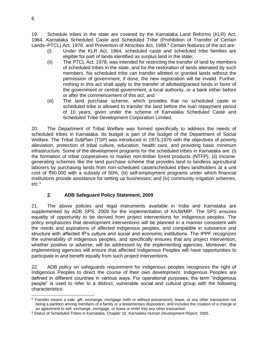19. Schedule tribes in the state are covered by the Karnataka Land Reforms (KLR) Act, 1964, Karnataka Scheduled Caste and Scheduled Tribe (Prohibition of Transfer of Certain Lands–PTCL) Act, 1978, and Prevention of Atrocities Act, 1989.<sup>8</sup> Certain features of the act are:

- (i) Under the KLR Act, 1964, scheduled caste and scheduled tribe families are eligible for part of lands identified as surplus land in the state;
- (ii) The PTCL Act, 1978, was intended for restricting the transfer of land by members of scheduled tribes in the state, and for the restoration of lands alienated by such members. No scheduled tribe can transfer allotted or granted lands without the permission of government; if done, the new registration will be invalid. Further, nothing in this act shall apply to the transfer of allotted/granted lands in favor of the government or central government, a local authority, or a bank either before or after the commencement of this act; and
- (iii) The land purchase scheme, which provides that no scheduled caste or scheduled tribe is allowed to transfer the land before the loan repayment period of 10 years, given under the scheme of Karnataka Scheduled Caste and Scheduled Tribe Development Corporation Limited.

20. The Department of Tribal Welfare was formed specifically to address the needs of scheduled tribes in Karnataka. Its budget is part of the budget of the Department of Social Welfare. The Tribal SubPlan (TSP) was introduced in 1975-1976 with the objectives of poverty alleviation, protection of tribal culture, education, health care, and providing basic minimum infrastructure. Some of the development programs for the scheduled tribes in Karnataka are: (i) the formation of tribal cooperatives to market non-timber forest products (NTFP); (ii) incomegenerating schemes like the land purchase scheme that provides land to landless agricultural laborers by purchasing lands from non-scheduled caste/scheduled tribes landholders at a unit cost of ₹60,000 with a subsidy of 50%; (iii) self-employment programs under which financial institutions provide assistance for setting up businesses; and (iv) community irrigation schemes, etc.<sup>9</sup>

# **2. ADB Safeguard Policy Statement, 2009**

21. The above policies and legal instruments available in India and Karnataka are supplemented by ADB SPS, 2009 for the implementation of KIUWMIP. The SPS ensures equality of opportunity to be derived from project interventions for indigenous peoples. The policy emphasizes that development interventions will be planned in a manner consistent with the needs and aspirations of affected indigenous peoples, and compatible in substance and structure with affected IP's culture and social and economic institutions. The IPPF recognizes the vulnerability of indigenous peoples, and specifically ensures that any project intervention, whether positive or adverse, will be addressed by the implementing agencies. Moreover, the implementing agencies will ensure that affected Indigenous Peoples will have opportunities to participate in and benefit equally from such project interventions.

22. ADB policy on safeguards requirement for indigenous peoples recognizes the right of Indigenous Peoples to direct the course of their own development. Indigenous Peoples are defined in different countries in various ways. For operational purposes, the term "indigenous people" is used to refer to a distinct, vulnerable social and cultural group with the following characteristics:

 <sup>8</sup> Transfer means a sale, gift, exchange, mortgage (with or without possession), lease, or any other transaction not being a partition among members of a family or a testamentary disposition, and includes the creation of a charge or an agreement to sell, exchange, mortgage, or lease or enter into any other transaction.

<sup>9</sup> Status of Scheduled Tribes in Karnataka, Chapter 10, *Karnataka Human Development Report,* 2005.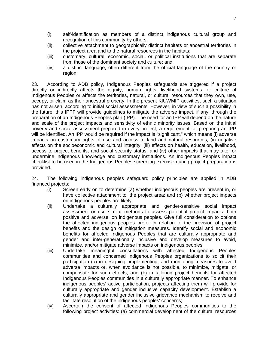- (i) self-identification as members of a distinct indigenous cultural group and recognition of this community by others;
- (ii) collective attachment to geographically distinct habitats or ancestral territories in the project area and to the natural resources in the habitats;
- (iii) customary, cultural, economic, social, or political institutions that are separate from those of the dominant society and culture; and
- (iv) a distinct language, often different from the official language of the country or region.

23. According to ADB policy, Indigenous Peoples safeguards are triggered if a project directly or indirectly affects the dignity, human rights, livelihood systems, or culture of Indigenous Peoples or affects the territories, natural, or cultural resources that they own, use, occupy, or claim as their ancestral property. In the present KIUWMIP activities, such a situation has not arisen, according to initial social assessments. However, in view of such a possibility in the future, this IPPF will provide guidelines to mitigate the adverse impact, if any; through the preparation of an Indigenous Peoples plan (IPP). The need for an IPP will depend on the nature and scale of the project impacts and sensitivity of ethnic minority issues. Based on the initial poverty and social assessment prepared in every project, a requirement for preparing an IPP will be identified. An IPP would be required if the impact is "significant," which means (i) adverse impacts on customary rights of use and access to land and natural resources; (ii) negative effects on the socioeconomic and cultural integrity; (iii) effects on health, education, livelihood, access to project benefits, and social security status; and (iv) other impacts that may alter or undermine indigenous knowledge and customary institutions. An Indigenous Peoples impact checklist to be used in the Indigenous Peoples screening exercise during project preparation is provided.

24. The following indigenous peoples safeguard policy principles are applied in ADB financed projects:

- (i) Screen early on to determine (a) whether indigenous peoples are present in, or have collective attachment to, the project area; and (b) whether project impacts on indigenous peoples are likely;
- (ii) Undertake a culturally appropriate and gender-sensitive social impact assessment or use similar methods to assess potential project impacts, both positive and adverse, on indigenous peoples. Give full consideration to options the affected indigenous peoples prefer in relation to the provision of project benefits and the design of mitigation measures. Identify social and economic benefits for affected Indigenous Peoples that are culturally appropriate and gender and inter-generationally inclusive and develop measures to avoid, minimize, and/or mitigate adverse impacts on indigenous peoples;
- (iii) Undertake meaningful consultations with affected Indigenous Peoples communities and concerned Indigenous Peoples organizations to solicit their participation (a) in designing, implementing, and monitoring measures to avoid adverse impacts or, when avoidance is not possible, to minimize, mitigate, or compensate for such effects; and (b) in tailoring project benefits for affected Indigenous Peoples communities in a culturally appropriate manner. To enhance indigenous peoples' active participation, projects affecting them will provide for culturally appropriate and gender inclusive capacity development. Establish a culturally appropriate and gender inclusive grievance mechanism to receive and facilitate resolution of the indigenous peoples' concerns;
- (iv) Ascertain the consent of affected Indigenous Peoples communities to the following project activities: (a) commercial development of the cultural resources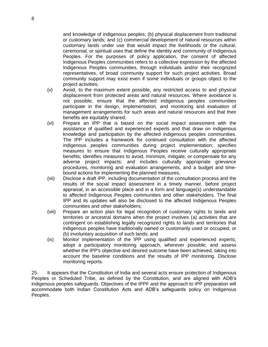and knowledge of indigenous peoples; (b) physical displacement from traditional or customary lands; and (c) commercial development of natural resources within customary lands under use that would impact the livelihoods or the cultural, ceremonial, or spiritual uses that define the identity and community of Indigenous Peoples. For the purposes of policy application, the consent of affected Indigenous Peoples communities refers to a collective expression by the affected Indigenous Peoples communities, through individuals and/or their recognized representatives, of broad community support for such project activities. Broad community support may exist even if some individuals or groups object to the project activities;

- (v) Avoid, to the maximum extent possible, any restricted access to and physical displacement from protected areas and natural resources. Where avoidance is not possible, ensure that the affected indigenous peoples communities participate in the design, implementation, and monitoring and evaluation of management arrangements for such areas and natural resources and that their benefits are equitably shared;
- (vi) Prepare an IPP that is based on the social impact assessment with the assistance of qualified and experienced experts and that draw on indigenous knowledge and participation by the affected indigenous peoples communities. The IPP includes a framework for continued consultation with the affected indigenous peoples communities during project implementation; specifies measures to ensure that Indigenous Peoples receive culturally appropriate benefits; identifies measures to avoid, minimize, mitigate, or compensate for any adverse project impacts; and includes culturally appropriate grievance procedures, monitoring and evaluation arrangements, and a budget and timebound actions for implementing the planned measures;
- (vii) Disclose a draft IPP, including documentation of the consultation process and the results of the social impact assessment in a timely manner, before project appraisal, in an accessible place and in a form and language(s) understandable to affected Indigenous Peoples communities and other stakeholders. The final IPP and its updates will also be disclosed to the affected Indigenous Peoples communities and other stakeholders;
- (viii) Prepare an action plan for legal recognition of customary rights to lands and territories or ancestral domains when the project involves (a) activities that are contingent on establishing legally recognized rights to lands and territories that indigenous peoples have traditionally owned or customarily used or occupied, or (b) involuntary acquisition of such lands; and
- (ix) Monitor implementation of the IPP using qualified and experienced experts; adopt a participatory monitoring approach, wherever possible; and assess whether the IPP's objective and desired outcome have been achieved, taking into account the baseline conditions and the results of IPP monitoring. Disclose monitoring reports.

25. It appears that the Constitution of India and several acts ensure protection of Indigenous Peoples or Scheduled Tribe, as defined by the Constitution, and are aligned with ADB's indigenous peoples safeguards. Objectives of the IPPF and the approach to IPP preparation will accommodate both Indian Constitution Acts and ADB's safeguards policy on Indigenous Peoples.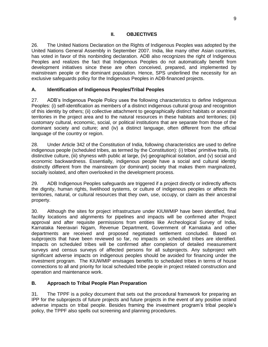<span id="page-12-0"></span>26. The United Nations Declaration on the Rights of Indigenous Peoples was adopted by the United Nations General Assembly in September 2007. India, like many other Asian countries, has voted in favor of this nonbinding declaration. ADB also recognizes the right of Indigenous Peoples and realizes the fact that Indigenous Peoples do not automatically benefit from development initiatives since these are often conceived, prepared, and implemented by mainstream people or the dominant population. Hence, SPS underlined the necessity for an exclusive safeguards policy for the Indigenous Peoples in ADB-financed projects.

#### <span id="page-12-1"></span>**A. Identification of Indigenous Peoples/Tribal Peoples**

27. ADB's Indigenous People Policy uses the following characteristics to define Indigenous Peoples: (i) self-identification as members of a distinct indigenous cultural group and recognition of this identity by others; (ii) collective attachment to geographically distinct habitats or ancestral territories in the project area and to the natural resources in these habitats and territories; (iii) customary cultural, economic, social, or political institutions that are separate from those of the dominant society and culture; and (iv) a distinct language, often different from the official language of the country or region.

28. Under Article 342 of the Constitution of India, following characteristics are used to define indigenous people (scheduled tribes, as termed by the Constitution): (i) tribes' primitive traits, (ii) distinctive culture, (iii) shyness with public at large, (iv) geographical isolation, and (v) social and economic backwardness. Essentially, indigenous people have a social and cultural identity distinctly different from the mainstream (or dominant) society that makes them marginalized, socially isolated, and often overlooked in the development process.

29. ADB Indigenous Peoples safeguards are triggered if a project directly or indirectly affects the dignity, human rights, livelihood systems, or culture of indigenous peoples or affects the territories, natural, or cultural resources that they own, use, occupy, or claim as their ancestral property.

30. Although the sites for project infrastructure under KIUWMIP have been identified, final facility locations and alignments for pipelines and impacts will be confirmed after Project approval and after requisite permissions from entities like Archeological Survey of India, Karnataka Neeravari Nigam, Revenue Department, Government of Karnataka and other departments are received and proposed negotiated settlement concluded. Based on subprojects that have been reviewed so far, no impacts on scheduled tribes are identified. Impacts on scheduled tribes will be confirmed after completion of detailed measurement surveys and census surveys of affected persons for all subprojects. Any subproject with significant adverse impacts on indigenous peoples should be avoided for financing under the investment program. The KIUWMIP envisages benefits to scheduled tribes in terms of house connections to all and priority for local scheduled tribe people in project related construction and operation and maintenance work.

#### <span id="page-12-2"></span>**B. Approach to Tribal People Plan Preparation**

31. The TPPF is a policy document that sets out the procedural framework for preparing an IPP for the subprojects of future projects and future projects in the event of any positive or/and adverse impacts on tribal people. Besides framing the investment program's tribal people's policy, the TPPF also spells out screening and planning procedures.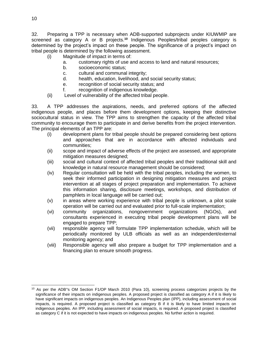32. Preparing a TPP is necessary when ADB-supported subprojects under KIUWMIP are screened as category A or B projects.**<sup>10</sup>** Indigenous Peoples/tribal peoples category is determined by the project's impact on these people. The significance of a project's impact on tribal people is determined by the following assessment.

- (i) Magnitude of impact in terms of:
	- a. customary rights of use and access to land and natural resources;
	- b. socioeconomic status;
	- c. cultural and communal integrity;
	- d. health, education, livelihood, and social security status;
	- e. recognition of social security status; and
	- f. recognition of indigenous knowledge.
- (ii) Level of vulnerability of the affected tribal people.

33. A TPP addresses the aspirations, needs, and preferred options of the affected indigenous people, and places before them development options, keeping their distinctive sociocultural status in view. The TPP aims to strengthen the capacity of the affected tribal community to encourage them to participate in and derive benefits from the project intervention. The principal elements of an TPP are:

- (i) development plans for tribal people should be prepared considering best options and approaches that are in accordance with affected individuals and communities;
- (ii) scope and impact of adverse effects of the project are assessed, and appropriate mitigation measures designed;
- (iii) social and cultural context of affected tribal peoples and their traditional skill and knowledge in natural resource management should be considered;
- (iv) Regular consultation will be held with the tribal peoples, including the women, to seek their informed participation in designing mitigation measures and project intervention at all stages of project preparation and implementation. To achieve this information sharing, disclosure meetings, workshops, and distribution of pamphlets in local language will be carried out;
- (v) in areas where working experience with tribal people is unknown, a pilot scale operation will be carried out and evaluated prior to full-scale implementation;
- (vi) community organizations, nongovernment organizations (NGOs), and consultants experienced in executing tribal people development plans will be engaged to prepare TPP;
- (vii) responsible agency will formulate TPP implementation schedule, which will be periodically monitored by ULB officials as well as an independent/external monitoring agency; and
- (viii) Responsible agency will also prepare a budget for TPP implementation and a financing plan to ensure smooth progress.

<sup>&</sup>lt;sup>10</sup> As per the ADB"s OM Section F1/OP March 2010 (Para 10), screening process categorizes projects by the significance of their impacts on indigenous peoples. A proposed project is classified as category A if it is likely to have significant impacts on indigenous peoples. An Indigenous Peoples plan (IPP), including assessment of social impacts, is required. A proposed project is classified as category B if it is likely to have limited impacts on indigenous peoples. An IPP, including assessment of social impacts, is required. A proposed project is classified as category C if it is not expected to have impacts on indigenous peoples. No further action is required.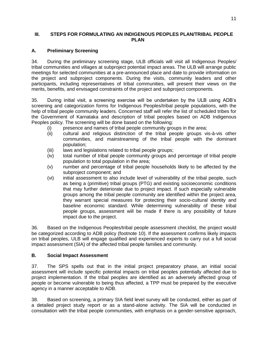#### <span id="page-14-0"></span>**III. STEPS FOR FORMULATING AN INDIGENOUS PEOPLES PLAN/TRIBAL PEOPLE PLAN**

### <span id="page-14-1"></span>**A. Preliminary Screening**

34. During the preliminary screening stage, ULB officials will visit all Indigenous Peoples/ tribal communities and villages at subproject potential impact areas. The ULB will arrange public meetings for selected communities at a pre-announced place and date to provide information on the project and subproject components. During the visits, community leaders and other participants, including representatives of tribal communities, will present their views on the merits, benefits, and envisaged constraints of the project and subproject components.

35. During initial visit, a screening exercise will be undertaken by the ULB using ADB's screening and categorization forms for Indigenous Peoples/tribal people populations, with the help of tribal people community leaders. Concerned staff will refer the list of scheduled tribes for the Government of Karnataka and description of tribal peoples based on ADB Indigenous Peoples policy. The screening will be done based on the following:

- (i) presence and names of tribal people community groups in the area;
- (ii) cultural and religious distinction of the tribal people groups vis-à-vis other communities, and mainstreaming of the tribal people with the dominant population;
- (iii) laws and legislations related to tribal people groups:
- (iv) total number of tribal people community groups and percentage of tribal people population to total population in the area;
- (v) number and percentage of tribal people households likely to be affected by the subproject component; and
- (vi) initial assessment to also include level of vulnerability of the tribal people, such as being a (primitive) tribal groups (PTG) and existing socioeconomic conditions that may further deteriorate due to project impact. If such especially vulnerable groups among the tribal people community are identified within the project area, they warrant special measures for protecting their socio-cultural identity and baseline economic standard. While determining vulnerability of these tribal people groups, assessment will be made if there is any possibility of future impact due to the project.

36. Based on the Indigenous Peoples/tribal people assessment checklist, the project would be categorized according to ADB policy (footnote 10). If the assessment confirms likely impacts on tribal peoples, ULB will engage qualified and experienced experts to carry out a full social impact assessment (SIA) of the affected tribal people families and community.

#### <span id="page-14-2"></span>**B. Social Impact Assessment**

37. The SPS spells out that in the initial project preparatory phase, an initial social assessment will include specific potential impacts on tribal peoples potentially affected due to project implementation. If the tribal peoples are identified as an adversely affected group of people or become vulnerable to being thus affected, a TPP must be prepared by the executive agency in a manner acceptable to ADB.

38. Based on screening, a primary SIA field level survey will be conducted, either as part of a detailed project study report or as a stand-alone activity. The SIA will be conducted in consultation with the tribal people communities, with emphasis on a gender-sensitive approach,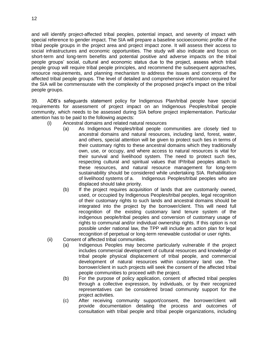and will identify project-affected tribal peoples, potential impact, and severity of impact with special reference to gender impact. The SIA will prepare a baseline socioeconomic profile of the tribal people groups in the project area and project impact zone. It will assess their access to social infrastructures and economic opportunities. The study will also indicate and focus on short-term and long-term benefits and potential positive and adverse impacts on the tribal people groups' social, cultural and economic status due to the project, assess which tribal people group will require tribal people principles, and recommend the subsequent approaches, resource requirements, and planning mechanism to address the issues and concerns of the affected tribal people groups. The level of detailed and comprehensive information required for the SIA will be commensurate with the complexity of the proposed project's impact on the tribal people groups.

39. ADB's safeguards statement policy for Indigenous Plan/tribal people have special requirements for assessment of project impact on an Indigenous Peoples/tribal people community, which needs to be assessed during SIA before project implementation. Particular attention has to be paid to the following aspects:

- (i) Ancestral domains and related natural resources
	- (a) As Indigenous Peoples/tribal people communities are closely tied to ancestral domains and natural resources, including land, forest, water, and others, special attention will be given to protect such ties in terms of their customary rights to these ancestral domains which they traditionally own, use, or occupy, and where access to natural resources is vital for their survival and livelihood system. The need to protect such ties, respecting cultural and spiritual values that IP/tribal peoples attach to these resources, and natural resource management for long-term sustainability should be considered while undertaking SIA. Rehabilitation of livelihood systems of a. Indigenous Peoples/tribal peoples who are displaced should take priority.
	- (b) If the project requires acquisition of lands that are customarily owned, used, or occupied by Indigenous Peoples/tribal peoples, legal recognition of their customary rights to such lands and ancestral domains should be integrated into the project by the borrower/client. This will need full recognition of the existing customary land tenure system of the indigenous people/tribal peoples and conversion of customary usage of rights to communal and/or individual ownership rights. If this option is not possible under national law, the TPP will include an action plan for legal recognition of perpetual or long-term renewable custodial or user rights.
- (ii) Consent of affected tribal communities.
	- (a) Indigenous Peoples may become particularly vulnerable if the project includes commercial development of cultural resources and knowledge of tribal people physical displacement of tribal people, and commercial development of natural resources within customary land use. The borrower/client in such projects will seek the consent of the affected tribal people communities to proceed with the project.
	- (b) For the purpose of policy application, consent of affected tribal peoples through a collective expression, by individuals, or by their recognized representatives can be considered broad community support for the project activities.
	- (c) After receiving community support/consent, the borrower/client will provide documentation detailing the process and outcomes of consultation with tribal people and tribal people organizations, including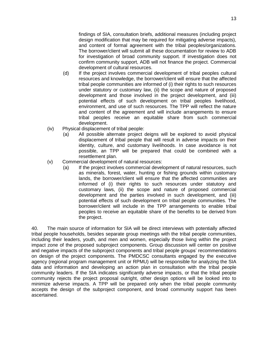findings of SIA, consultation briefs, additional measures (including project design modification that may be required for mitigating adverse impacts), and content of formal agreement with the tribal peoples/organizations. The borrower/client will submit all these documentation for review to ADB for investigation of broad community support. If investigation does not confirm community support, ADB will not finance the project. Commercial development of cultural resources.

- (d) If the project involves commercial development of tribal peoples cultural resources and knowledge, the borrower/client will ensure that the affected tribal people communities are informed of (i) their rights to such resources under statutory or customary law, (ii) the scope and nature of proposed development and those involved in the project development, and (iii) potential effects of such development on tribal peoples livelihood, environment, and use of such resources. The TPP will reflect the nature and content of the agreement and will include arrangements to ensure tribal peoples receive an equitable share from such commercial development.
- (iv) Physical displacement of tribal people:
	- (a) All possible alternate project deigns will be explored to avoid physical displacement of tribal people that will result in adverse impacts on their identity, culture, and customary livelihoods. In case avoidance is not possible, an TPP will be prepared that could be combined with a resettlement plan.
- (v) Commercial development of natural resources:
	- (a) If the project involves commercial development of natural resources, such as minerals, forest, water, hunting or fishing grounds within customary lands, the borrower/client will ensure that the affected communities are informed of (i) their rights to such resources under statutory and customary laws, (ii) the scope and nature of proposed commercial development and the parties involved in such development, and (iii) potential effects of such development on tribal people communities. The borrower/client will include in the TPP arrangements to enable tribal peoples to receive an equitable share of the benefits to be derived from the project.

40. The main source of information for SIA will be direct interviews with potentially affected tribal people households, besides separate group meetings with the tribal people communities, including their leaders, youth, and men and women, especially those living within the project impact zone of the proposed subproject components. Group discussion will center on positive and negative impacts of the subproject components and tribal people groups' recommendations on design of the project components. The PMDCSC consultants engaged by the executive agency (regional program management unit or RPMU) will be responsible for analyzing the SIA data and information and developing an action plan in consultation with the tribal people community leaders. If the SIA indicates significantly adverse impacts, or that the tribal people community rejects the project proposal outright, other design options will be looked into to minimize adverse impacts. A TPP will be prepared only when the tribal people community accepts the design of the subproject component, and broad community support has been ascertained.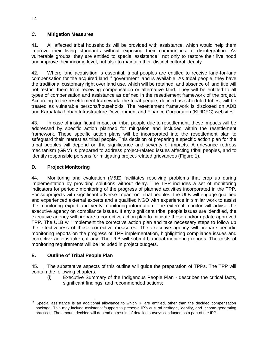# <span id="page-17-0"></span>**C. Mitigation Measures**

41. All affected tribal households will be provided with assistance, which would help them improve their living standards without exposing their communities to disintegration. As vulnerable groups, they are entitled to special assistance<sup>11</sup> not only to restore their livelihood and improve their income level, but also to maintain their distinct cultural identity.

42. Where land acquisition is essential, tribal peoples are entitled to receive land-for-land compensation for the acquired land if government land is available. As tribal people, they have the traditional customary right over land use, which will be retained, and absence of land title will not restrict them from receiving compensation or alternative land. They will be entitled to all types of compensation and assistance as defined in the resettlement framework of the project. According to the resettlement framework, the tribal people, defined as scheduled tribes, will be treated as vulnerable persons/households. The resettlement framework is disclosed on ADB and Karnataka Urban Infrastructure Development and Finance Corporation (KUIDFC) websites.

43. In case of insignificant impact on tribal people due to resettlement, these impacts will be addressed by specific action planned for mitigation and included within the resettlement framework. These specific action plans will be incorporated into the resettlement plan to safeguard their interest as tribal people. This decision of preparing a specific action plan for the tribal peoples will depend on the significance and severity of impacts. A grievance redress mechanism (GRM) is prepared to address project-related issues affecting tribal peoples, and to identify responsible persons for mitigating project-related grievances (Figure 1).

# <span id="page-17-1"></span>**D. Project Monitoring**

44. Monitoring and evaluation (M&E) facilitates resolving problems that crop up during implementation by providing solutions without delay. The TPP includes a set of monitoring indicators for periodic monitoring of the progress of planned activities incorporated in the TPP. For subprojects with significant adverse impact on tribal peoples, the ULB will engage qualified and experienced external experts and a qualified NGO with experience in similar work to assist the monitoring expert and verify monitoring information. The external monitor will advise the executive agency on compliance issues. If any significant tribal people issues are identified, the executive agency will prepare a corrective action plan to mitigate those and/or update approved TPP. The ULB will implement the corrective action plan and take necessary steps to follow up the effectiveness of those corrective measures. The executive agency will prepare periodic monitoring reports on the progress of TPP implementation, highlighting compliance issues and corrective actions taken, if any. The ULB will submit biannual monitoring reports. The costs of monitoring requirements will be included in project budgets.

# <span id="page-17-2"></span>**E. Outline of Tribal People Plan**

45. The substantive aspects of this outline will guide the preparation of TPPs. The TPP will contain the following chapters:

(i) Executive Summary of the Indigenous People Plan - describes the critical facts, significant findings, and recommended actions;

 <sup>11</sup> Special assistance is an additional allowance to which IP are entitled, other than the decided compensation package. This may include assistance/support to preserve IP's cultural heritage, identity, and income-generating practices. The amount decided will depend on results of detailed surveys conducted as a part of the IPP.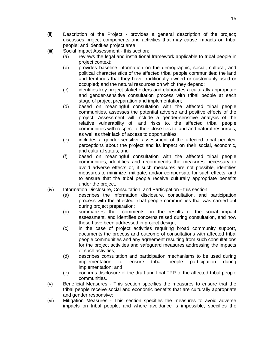- (ii) Description of the Project provides a general description of the project; discusses project components and activities that may cause impacts on tribal people; and identifies project area;
- (iii) Social Impact Assessment this section:
	- (a) reviews the legal and institutional framework applicable to tribal people in project context;
	- (b) provides baseline information on the demographic, social, cultural, and political characteristics of the affected tribal people communities; the land and territories that they have traditionally owned or customarily used or occupied; and the natural resources on which they depend;
	- (c) identifies key project stakeholders and elaborates a culturally appropriate and gender-sensitive consultation process with tribal people at each stage of project preparation and implementation;
	- (d) based on meaningful consultation with the affected tribal people communities, assesses the potential adverse and positive effects of the project. Assessment will include a gender-sensitive analysis of the relative vulnerability of, and risks to, the affected tribal people communities with respect to their close ties to land and natural resources, as well as their lack of access to opportunities;
	- (e) includes a gender-sensitive assessment of the affected tribal peoples' perceptions about the project and its impact on their social, economic, and cultural status; and
	- (f) based on meaningful consultation with the affected tribal people communities, identifies and recommends the measures necessary to avoid adverse effects or, if such measures are not possible, identifies measures to minimize, mitigate, and/or compensate for such effects, and to ensure that the tribal people receive culturally appropriate benefits under the project.
- (iv) Information Disclosure, Consultation, and Participation this section:
	- (a) describes the information disclosure, consultation, and participation process with the affected tribal people communities that was carried out during project preparation;
	- (b) summarizes their comments on the results of the social impact assessment, and identifies concerns raised during consultation, and how these have been addressed in project design;
	- (c) in the case of project activities requiring broad community support, documents the process and outcome of consultations with affected tribal people communities and any agreement resulting from such consultations for the project activities and safeguard measures addressing the impacts of such activities;
	- (d) describes consultation and participation mechanisms to be used during implementation to ensure tribal people participation during implementation; and
	- (e) confirms disclosure of the draft and final TPP to the affected tribal people communities.
- (v) Beneficial Measures This section specifies the measures to ensure that the tribal people receive social and economic benefits that are culturally appropriate and gender responsive;
- (vi) Mitigation Measures This section specifies the measures to avoid adverse impacts on tribal people, and where avoidance is impossible, specifies the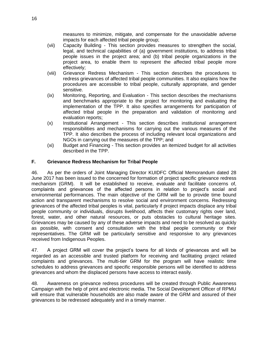measures to minimize, mitigate, and compensate for the unavoidable adverse impacts for each affected tribal people group;

- (vii) Capacity Building This section provides measures to strengthen the social, legal, and technical capabilities of (a) government institutions, to address tribal people issues in the project area; and (b) tribal people organizations in the project area, to enable them to represent the affected tribal people more effectively;
- (viii) Grievance Redress Mechanism This section describes the procedures to redress grievances of affected tribal people communities. It also explains how the procedures are accessible to tribal people, culturally appropriate, and gender sensitive.
- (ix) Monitoring, Reporting, and Evaluation This section describes the mechanisms and benchmarks appropriate to the project for monitoring and evaluating the implementation of the TPP. It also specifies arrangements for participation of affected tribal people in the preparation and validation of monitoring and evaluation reports;
- (x) Institutional Arrangement This section describes institutional arrangement responsibilities and mechanisms for carrying out the various measures of the TPP. It also describes the process of including relevant local organizations and NGOs in carrying out the measures of the TPP; and
- (xi) Budget and Financing This section provides an itemized budget for all activities described in the TPP.

#### <span id="page-19-0"></span>**F. Grievance Redress Mechanism for Tribal People**

46. As per the orders of Joint Managing Director KUIDFC Official Memorandum dated 28 June 2017 has been issued to the concerned for formation of project specific grievance redress mechanism (GRM). It will be established to receive, evaluate and facilitate concerns of, complaints and grievances of the affected persons in relation to project's social and environmental performances. The main objective of the GRM will be to provide time bound action and transparent mechanisms to resolve social and environment concerns. Redressing grievances of the affected tribal peoples is vital, particularly if project impacts displace any tribal people community or individuals, disrupts livelihood, affects their customary rights over land, forest, water, and other natural resources, or puts obstacles to cultural heritage sites. Grievances may be caused by any of these adverse impacts and need to be resolved as quickly as possible, with consent and consultation with the tribal people community or their representatives. The GRM will be particularly sensitive and responsive to any grievances received from Indigenous Peoples.

47. A project GRM will cover the project's towns for all kinds of grievances and will be regarded as an accessible and trusted platform for receiving and facilitating project related complaints and grievances. The multi-tier GRM for the program will have realistic time schedules to address grievances and specific responsible persons will be identified to address grievances and whom the displaced persons have access to interact easily.

48. Awareness on grievance redress procedures will be created through Public Awareness Campaign with the help of print and electronic media. The Social Development Officer of RPMU will ensure that vulnerable households are also made aware of the GRM and assured of their grievances to be redressed adequately and in a timely manner.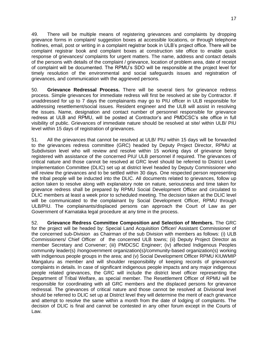49. There will be multiple means of registering grievances and complaints by dropping grievance forms in complaint/ suggestion boxes at accessible locations, or through telephone hotlines, email, post or writing in a complaint registrar book in ULB's project office. There will be complaint registrar book and complaint boxes at construction site office to enable quick response of grievances/ complaints for urgent matters. The name, address and contact details of the persons with details of the complaint / grievance, location of problem area, date of receipt of complaint will be documented. The RPMU's SDO will be responsible at the project level for timely resolution of the environmental and social safeguards issues and registration of grievances, and communication with the aggrieved persons.

50. **Grievance Redressal Process.** There will be several tiers for grievance redress process. Simple grievances for immediate redress will first be resolved at site by Contractor. If unaddressed for up to 7 days the complainants may go to PIU officer in ULB responsible for addressing resettlement/social issues. Resident engineer and the ULB will assist in resolving the issues. Name, designation and contact number of personnel responsible for grievance redress at ULB and RPMU, will be posted at Contractor's and PMDCSC's site office in full visibility of public. Grievances of immediate nature should be resolved at site/ within ULB/ PIU level within 15 days of registration of grievances.

51. All the grievances that cannot be resolved at ULB/ PIU within 15 days will be forwarded to the grievances redress committee (GRC) headed by Deputy Project Director, RPMU at Subdivision level who will review and resolve within 15 working days of grievance being registered with assistance of the concerned PIU/ ULB personnel if required. The grievances of critical nature and those cannot be resolved at GRC level should be referred to District Level Implementation Committee (DLIC) set up at district level headed by Deputy Commissioner who will review the grievances and to be settled within 30 days. One respected person representing the tribal people will be inducted into the DLIC. All documents related to grievances, follow up action taken to resolve along with explanatory note on nature, seriousness and time taken for grievance redress shall be prepared by RPMU Social Development Officer and circulated to DLIC members at least a week prior to scheduled meeting. The decision taken at the DLIC level will be communicated to the complainant by Social Development Officer, RPMU through ULB/PIU. The complainants/displaced persons can approach the Court of Law as per Government of Karnataka legal procedure at any time in the process.

52. **Grievance Redress Committee Composition and Selection of Members.** The GRC for the project will be headed by: Special Land Acquisition Officer/ Assistant Commissioner of the concerned sub-Division as Chairman of the sub Division with members as follows: (i) ULB Commissioners/ Chief Officer of the concerned ULB towns; (ii) Deputy Project Director as member Secretary and Convener; (iii) PMDCSC Engineer; (iv) affected Indigenous Peoples community leader(s) /nongovernment organization(s)/community-based organization(s) working with indigenous people groups in the area; and (v) Social Development Officer RPMU KIUWMIP Mangaluru as member and will shoulder responsibility of keeping records of grievances/ complaints in details. In case of significant indigenous people impacts and any major indigenous people related grievances, the GRC will include the district level officer representing the Department of Tribal Welfare, as special member. The Resettlement Officer of RPMU will be responsible for coordinating with all GRC members and the displaced persons for grievance redressal. The grievances of critical nature and those cannot be resolved at Divisional level should be referred to DLIC set up at District level they will determine the merit of each grievance and attempt to resolve the same within a month from the date of lodging of complaints. The decision of DLIC is final and cannot be contested in any other forum except in the Courts of Law.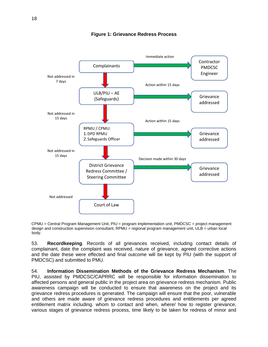

#### **Figure 1: Grievance Redress Process**

CPMU = Central Program Management Unit, PIU = program implementation unit, PMDCSC = project management design and construction supervision consultant, RPMU = regional program management unit, ULB = urban local body.

53. **Recordkeeping**. Records of all grievances received, including contact details of complainant, date the complaint was received, nature of grievance, agreed corrective actions and the date these were effected and final outcome will be kept by PIU (with the support of PMDCSC) and submitted to PMU.

54. **Information Dissemination Methods of the Grievance Redress Mechanism**. The PIU, assisted by PMDCSC/CAPRRC will be responsible for information dissemination to affected persons and general public in the project area on grievance redress mechanism. Public awareness campaign will be conducted to ensure that awareness on the project and its grievance redress procedures is generated. The campaign will ensure that the poor, vulnerable and others are made aware of grievance redress procedures and entitlements per agreed entitlement matrix including. whom to contact and when, where/ how to register grievance, various stages of grievance redress process, time likely to be taken for redress of minor and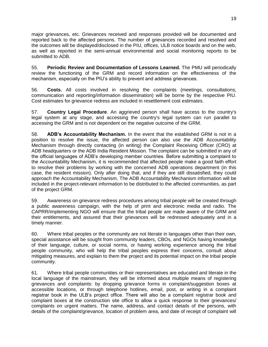major grievances, etc. Grievances received and responses provided will be documented and reported back to the affected persons. The number of grievances recorded and resolved and the outcomes will be displayed/disclosed in the PIU, offices, ULB notice boards and on the web, as well as reported in the semi-annual environmental and social monitoring reports to be submitted to ADB.

55. **Periodic Review and Documentation of Lessons Learned.** The PMU will periodically review the functioning of the GRM and record information on the effectiveness of the mechanism, especially on the PIU's ability to prevent and address grievances.

56. **Costs.** All costs involved in resolving the complaints (meetings, consultations, communication and reporting/information dissemination) will be borne by the respective PIU. Cost estimates for grievance redress are included in resettlement cost estimates.

57. **Country Legal Procedure**. An aggrieved person shall have access to the country's legal system at any stage, and accessing the country's legal system can run parallel to accessing the GRM and is not dependent on the negative outcome of the GRM.

58. **ADB's Accountability Mechanism.** In the event that the established GRM is not in a position to resolve the issue, the affected person can also use the ADB Accountability Mechanism through directly contacting (in writing) the Complaint Receiving Officer (CRO) at ADB headquarters or the ADB India Resident Mission. The complaint can be submitted in any of the official languages of ADB's developing member countries. Before submitting a complaint to the Accountability Mechanism, it is recommended that affected people make a good faith effort to resolve their problems by working with the concerned ADB operations department (in this case, the resident mission). Only after doing that, and if they are still dissatisfied, they could approach the Accountability Mechanism. The ADB Accountability Mechanism information will be included in the project-relevant information to be distributed to the affected communities, as part of the project GRM.

59. Awareness on grievance redress procedures among tribal people will be created through a public awareness campaign, with the help of print and electronic media and radio. The CAPRR/implementing NGO will ensure that the tribal people are made aware of the GRM and their entitlements, and assured that their grievances will be redressed adequately and in a timely manner.

60. Where tribal peoples or the community are not literate in languages other than their own, special assistance will be sought from community leaders, CBOs, and NGOs having knowledge of their language, culture, or social norms, or having working experience among the tribal people community, who will help the tribal peoples express their concerns, consult about mitigating measures, and explain to them the project and its potential impact on the tribal people community.

61. Where tribal people communities or their representatives are educated and literate in the local language of the mainstream, they will be informed about multiple means of registering grievances and complaints: by dropping grievance forms in complaint/suggestion boxes at accessible locations, or through telephone hotlines, email, post, or writing in a complaint registrar book in the ULB's project office. There will also be a complaint registrar book and complaint boxes at the construction site office to allow a quick response to their grievances/ complaints on urgent matters. The name, address, and contact details of the persons, with details of the complaint/grievance, location of problem area, and date of receipt of complaint will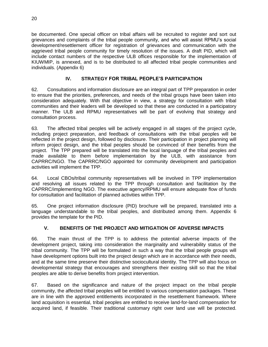be documented. One special officer on tribal affairs will be recruited to register and sort out grievances and complaints of the tribal people community, and who will assist RPMU's social development/resettlement officer for registration of grievances and communication with the aggrieved tribal people community for timely resolution of the issues. A draft PID, which will include contact numbers of the respective ULB offices responsible for the implementation of KIUWMIP, is annexed, and is to be distributed to all affected tribal people communities and individuals. (Appendix 6)

# <span id="page-23-0"></span>**IV. STRATEGY FOR TRIBAL PEOPLE'S PARTICIPATION**

62. Consultations and information disclosure are an integral part of TPP preparation in order to ensure that the priorities, preferences, and needs of the tribal groups have been taken into consideration adequately. With that objective in view, a strategy for consultation with tribal communities and their leaders will be developed so that these are conducted in a participatory manner. The ULB and RPMU representatives will be part of evolving that strategy and consultation process.

63. The affected tribal peoples will be actively engaged in all stages of the project cycle, including project preparation, and feedback of consultations with the tribal peoples will be reflected in the project design, followed by disclosure. Their participation in project planning will inform project design, and the tribal peoples should be convinced of their benefits from the project. The TPP prepared will be translated into the local language of the tribal peoples and made available to them before implementation by the ULB, with assistance from CAPRRC/NGO. The CAPRRC/NGO appointed for community development and participation activities will implement the TPP.

64. Local CBOs/tribal community representatives will be involved in TPP implementation and resolving all issues related to the TPP through consultation and facilitation by the CAPRRC/implementing NGO. The executive agency/RPMU will ensure adequate flow of funds for consultation and facilitation of planned activities within TPP.

65. One project information disclosure (PID) brochure will be prepared, translated into a language understandable to the tribal peoples, and distributed among them. Appendix 6 provides the template for the PID.

# <span id="page-23-1"></span>**V. BENEFITS OF THE PROJECT AND MITIGATION OF ADVERSE IMPACTS**

66. The main thrust of the TPP is to address the potential adverse impacts of the development project, taking into consideration the marginality and vulnerability status of the tribal community. The TPP will be formulated in such a way that the tribal people groups will have development options built into the project design which are in accordance with their needs, and at the same time preserve their distinctive sociocultural identity. The TPP will also focus on developmental strategy that encourages and strengthens their existing skill so that the tribal peoples are able to derive benefits from project intervention.

67. Based on the significance and nature of the project impact on the tribal people community, the affected tribal peoples will be entitled to various compensation packages. These are in line with the approved entitlements incorporated in the resettlement framework. Where land acquisition is essential, tribal peoples are entitled to receive land-for-land compensation for acquired land, if feasible. Their traditional customary right over land use will be protected.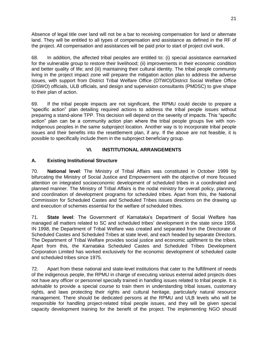Absence of legal title over land will not be a bar to receiving compensation for land or alternate land. They will be entitled to all types of compensation and assistance as defined in the RF of the project. All compensation and assistances will be paid prior to start of project civil work.

68. In addition, the affected tribal peoples are entitled to: (i) special assistance earmarked for the vulnerable group to restore their livelihood; (ii) improvements in their economic condition and better quality of life; and (iii) maintaining their cultural identity. The tribal people community living in the project impact zone will prepare the mitigation action plan to address the adverse issues, with support from District Tribal Welfare Office (DTWO)/District Social Welfare Office (DSWO) officials, ULB officials, and design and supervision consultants (PMDSC) to give shape to their plan of action.

69. If the tribal people impacts are not significant, the RPMU could decide to prepare a "specific action" plan detailing required actions to address the tribal people issues without preparing a stand-alone TPP. This decision will depend on the severity of impacts. This "specific action" plan can be a community action plan where the tribal people groups live with nonindigenous peoples in the same subproject location. Another way is to incorporate tribal people issues and their benefits into the resettlement plan, if any. If the above are not feasible, it is possible to specifically include them in the subproject beneficiary group.

# <span id="page-24-0"></span>**VI. INSTITUTIONAL ARRANGEMENTS**

# <span id="page-24-1"></span>**A. Existing Institutional Structure**

70. **National level**: The Ministry of Tribal Affairs was constituted in October 1999 by bifurcating the Ministry of Social Justice and Empowerment with the objective of more focused attention on integrated socioeconomic development of scheduled tribes in a coordinated and planned manner. The Ministry of Tribal Affairs is the nodal ministry for overall policy, planning, and coordination of development programs for scheduled tribes. Apart from this, the National Commission for Scheduled Castes and Scheduled Tribes issues directions on the drawing up and execution of schemes essential for the welfare of scheduled tribes.

71. **State level**: The Government of Karnataka's Department of Social Welfare has managed all matters related to SC and scheduled tribes' development in the state since 1956. IN 1998, the Department of Tribal Welfare was created and separated from the Directorate of Scheduled Castes and Scheduled Tribes at state level, and each headed by separate Directors. The Department of Tribal Welfare provides social justice and economic upliftment to the tribes. Apart from this, the Karnataka Scheduled Castes and Scheduled Tribes Development Corporation Limited has worked exclusively for the economic development of scheduled caste and scheduled tribes since 1975.

72. Apart from these national and state-level institutions that cater to the fulfillment of needs of the indigenous people, the RPMU in charge of executing various external aided projects does not have any officer or personnel specially trained in handling issues related to tribal people. It is advisable to provide a special course to train them in understanding tribal issues, customary rights, and laws protecting their rights and cultural heritage, particularly natural resource management. There should be dedicated persons at the RPMU and ULB levels who will be responsible for handling project-related tribal people issues, and they will be given special capacity development training for the benefit of the project. The implementing NGO should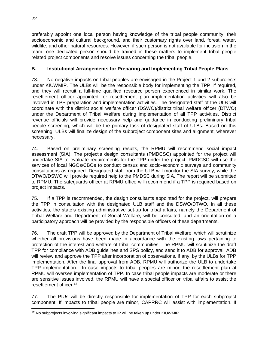preferably appoint one local person having knowledge of the tribal people community, their socioeconomic and cultural background, and their customary rights over land, forest, water, wildlife, and other natural resources. However, if such person is not available for inclusion in the team, one dedicated person should be trained in these matters to implement tribal people related project components and resolve issues concerning the tribal people.

# <span id="page-25-0"></span>**B. Institutional Arrangements for Preparing and Implementing Tribal People Plans**

73. No negative impacts on tribal peoples are envisaged in the Project 1 and 2 subprojects under KIUWMIP. The ULBs will be the responsible body for implementing the TPP, if required, and they will recruit a full-time qualified resource person experienced in similar work. The resettlement officer appointed for resettlement plan implementation activities will also be involved in TPP preparation and implementation activities. The designated staff of the ULB will coordinate with the district social welfare officer (DSWO)/district tribal welfare officer (DTWO) under the Department of Tribal Welfare during implementation of all TPP activities. District revenue officials will provide necessary help and guidance in conducting preliminary tribal people screening, which will be the primary task of designated staff of ULBs. Based on this screening, ULBs will finalize design of the subproject component sites and alignment, wherever necessary.

74. Based on preliminary screening results, the RPMU will recommend social impact assessment (SIA). The project's design consultants (PMDCSC) appointed for the project will undertake SIA to evaluate requirements for the TPP under the project. PMDCSC will use the services of local NGOs/CBOs to conduct census and socio-economic surveys and community consultations as required. Designated staff from the ULB will monitor the SIA survey, while the DTWO/DSWO will provide required help to the PMDSC during SIA. The report will be submitted to RPMU. The safeguards officer at RPMU office will recommend if a TPP is required based on project impacts.

75. If a TPP is recommended, the design consultants appointed for the project, will prepare the TPP in consultation with the designated ULB staff and the DSWO/DTWO. In all these activities, the state's existing administrative set-up for tribal affairs, namely the Department of Tribal Welfare and Department of Social Welfare, will be consulted, and an orientation on a participatory approach will be provided by the responsible officers of these departments.

76. The draft TPP will be approved by the Department of Tribal Welfare, which will scrutinize whether all provisions have been made in accordance with the existing laws pertaining to protection of the interest and welfare of tribal communities. The RPMU will scrutinize the draft TPP for compliance with ADB guidelines and SPS policy, and send it to ADB for approval. ADB will review and approve the TPP after incorporation of observations, if any, by the ULBs for TPP implementation. After the final approval from ADB, RPMU will authorize the ULB to undertake TPP implementation. In case impacts to tribal peoples are minor, the resettlement plan at RPMU will oversee implementation of TPP. In case tribal people impacts are moderate or there are sensitive issues involved, the RPMU will have a special officer on tribal affairs to assist the resettlement officer. 12

77. The PIUs will be directly responsible for implementation of TPP for each subproject component. If impacts to tribal people are minor, CAPRRC will assist with implementation. If

 <sup>12</sup> No subprojects involving significant impacts to IP will be taken up under KIUWMIP.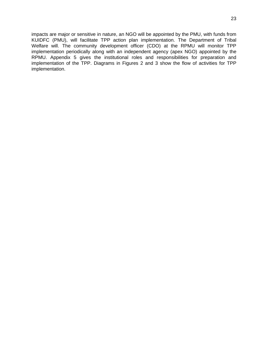impacts are major or sensitive in nature, an NGO will be appointed by the PMU, with funds from KUIDFC (PMU), will facilitate TPP action plan implementation. The Department of Tribal Welfare will. The community development officer (CDO) at the RPMU will monitor TPP implementation periodically along with an independent agency (apex NGO) appointed by the RPMU. Appendix 5 gives the institutional roles and responsibilities for preparation and implementation of the TPP. Diagrams in Figures 2 and 3 show the flow of activities for TPP implementation.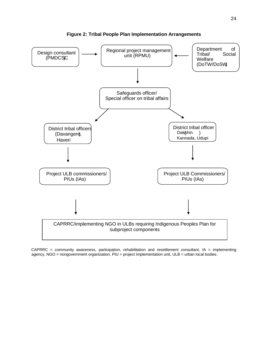

**Figure 2: Tribal People Plan Implementation Arrangements**

 $CAPRRC = community$  awareness, participation, rehabilitation and resettlement consultant,  $IA = implementation$ agency, NGO = nongovernment organization, PIU = project implementation unit, ULB = urban local bodies.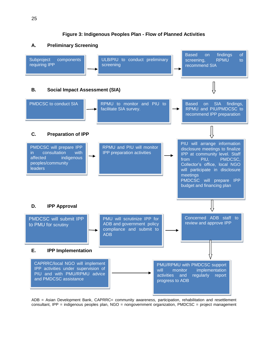**Figure 3: Indigenous Peoples Plan - Flow of Planned Activities**



ADB = Asian Development Bank, CAPRRC= community awareness, participation, rehabilitation and resettlement consultant, IPP = indigenous peoples plan, NGO = nongovernment organization, PMDCSC = project management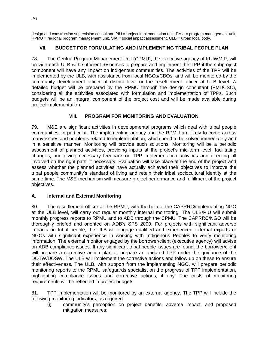design and construction supervision consultant, PIU = project implementation unit, PMU = program management unit, RPMU = regional program management unit, SIA = social impact assessment, ULB = urban local body.

# <span id="page-29-0"></span>**VII. BUDGET FOR FORMULATING AND IMPLEMENTING TRIBAL PEOPLE PLAN**

78. The Central Program Management Unit (CPMU), the executive agency of KIUWMIP, will provide each ULB with sufficient resources to prepare and implement the TPP if the subproject component will have any impact on indigenous communities. The activities of the TPP will be implemented by the ULB, with assistance from local NGOs/CBOs, and will be monitored by the community development officer at district level or the resettlement officer at ULB level. A detailed budget will be prepared by the RPMU through the design consultant (PMDCSC), considering all the activities associated with formulation and implementation of TPPs. Such budgets will be an integral component of the project cost and will be made available during project implementation.

# **VIII. PROGRAM FOR MONITORING AND EVALUATION**

<span id="page-29-1"></span>79. M&E are significant activities in developmental programs which deal with tribal people communities, in particular. The implementing agency and the RPMU are likely to come across many issues and problems related to implementation, which need to be solved immediately and in a sensitive manner. Monitoring will provide such solutions. Monitoring will be a periodic assessment of planned activities, providing inputs at the project's mid-term level, facilitating changes, and giving necessary feedback on TPP implementation activities and directing all involved on the right path, if necessary. Evaluation will take place at the end of the project and assess whether the planned activities have actually achieved their objectives to improve the tribal people community's standard of living and retain their tribal sociocultural identity at the same time. The M&E mechanism will measure project performance and fulfillment of the project objectives.

# <span id="page-29-2"></span>**A. Internal and External Monitoring**

80. The resettlement officer at the RPMU, with the help of the CAPRRC/implementing NGO at the ULB level, will carry out regular monthly internal monitoring. The ULB/PIU will submit monthly progress reports to RPMU and to ADB through the CPMU. The CAPRRC/NGO will be thoroughly briefed and oriented on ADB's SPS 2009. For projects with significant adverse impacts on tribal people, the ULB will engage qualified and experienced external experts or NGOs with significant experience in working with Indigenous Peoples to verify monitoring information. The external monitor engaged by the borrower/client (executive agency) will advise on ADB compliance issues. If any significant tribal people issues are found, the borrower/client will prepare a corrective action plan or prepare an updated TPP under the guidance of the DOTW/DOSW. The ULB will implement the corrective actions and follow up on these to ensure their effectiveness. The ULB, with support from the implementing NGO, will prepare periodic monitoring reports to the RPMU safeguards specialist on the progress of TPP implementation, highlighting compliance issues and corrective actions, if any. The costs of monitoring requirements will be reflected in project budgets.

81. TPP implementation will be monitored by an external agency. The TPP will include the following monitoring indicators, as required:

(i) community's perception on project benefits, adverse impact, and proposed mitigation measures;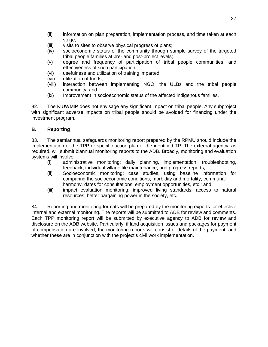- (ii) information on plan preparation, implementation process, and time taken at each stage;
- (iii) visits to sites to observe physical progress of plans;
- (iv) socioeconomic status of the community through sample survey of the targeted tribal people families at pre- and post-project levels;
- (v) degree and frequency of participation of tribal people communities, and effectiveness of such participation;
- (vi) usefulness and utilization of training imparted;
- (vii) utilization of funds;
- (viii) interaction between implementing NGO, the ULBs and the tribal people community; and
- (ix) Improvement in socioeconomic status of the affected indigenous families.

82. The KIUWMIP does not envisage any significant impact on tribal people. Any subproject with significant adverse impacts on tribal people should be avoided for financing under the investment program.

# <span id="page-30-0"></span>**B. Reporting**

83. The semiannual safeguards monitoring report prepared by the RPMU should include the implementation of the TPP or specific action plan of the identified TP. The external agency, as required, will submit biannual monitoring reports to the ADB. Broadly, monitoring and evaluation systems will involve:

- (i) administrative monitoring: daily planning, implementation, troubleshooting, feedback, individual village file maintenance, and progress reports;
- (ii) Socioeconomic monitoring: case studies, using baseline information for comparing the socioeconomic conditions, morbidity and mortality, communal harmony, dates for consultations, employment opportunities, etc.; and
- (iii) impact evaluation monitoring: improved living standards; access to natural resources; better bargaining power in the society, etc.

84. Reporting and monitoring formats will be prepared by the monitoring experts for effective internal and external monitoring. The reports will be submitted to ADB for review and comments. Each TPP monitoring report will be submitted by executive agency to ADB for review and disclosure on the ADB website. Particularly, if land acquisition issues and packages for payment of compensation are involved, the monitoring reports will consist of details of the payment, and whether these are in conjunction with the project's civil work implementation.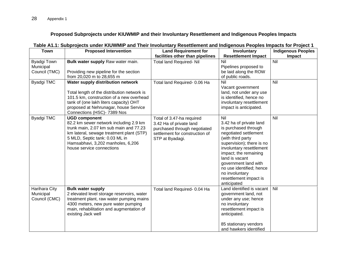#### **Proposed Subprojects under KIUWMIP and their Involuntary Resettlement and Indigenous Peoples Impacts**

| <b>Town</b><br><b>Proposed Intervention</b> |                                                                                                                                                                                                                                                          | <b>Land Requirement for</b>                                                                                                               | Involuntary                                                                                                                                                                                                                                                                                                             | <b>Indigenous Peoples</b> |
|---------------------------------------------|----------------------------------------------------------------------------------------------------------------------------------------------------------------------------------------------------------------------------------------------------------|-------------------------------------------------------------------------------------------------------------------------------------------|-------------------------------------------------------------------------------------------------------------------------------------------------------------------------------------------------------------------------------------------------------------------------------------------------------------------------|---------------------------|
|                                             |                                                                                                                                                                                                                                                          | facilities other than pipelines                                                                                                           | <b>Resettlement Impact</b>                                                                                                                                                                                                                                                                                              | Impact                    |
| Byadgi Town<br>Municipal<br>Council (TMC)   | Bulk water supply Raw water main.<br>Providing new pipeline for the section<br>from 20,020 m to 28,655 m                                                                                                                                                 | <b>Total land Required- Nil</b>                                                                                                           | Nil<br>Pipelines proposed to<br>be laid along the ROW<br>of public roads.                                                                                                                                                                                                                                               | Nil                       |
| <b>Byadgi TMC</b>                           | Water supply distribution network<br>Total length of the distribution network is<br>101.5 km, construction of a new overhead<br>tank of (one lakh liters capacity) OHT<br>proposed at Nehrunagar, house Service<br>Connections (HSC)- 7389 Nos           | Total land Required- 0.06 Ha                                                                                                              | Nil<br>Vacant government<br>land, not under any use<br>is identified, hence no<br>involuntary resettlement<br>impact is anticipated.                                                                                                                                                                                    | $\overline{N}$            |
| <b>Byadgi TMC</b>                           | <b>UGD component</b><br>82.2 km sewer network including 2.9 km<br>trunk main, 2.07 km sub main and 77.23<br>km lateral, sewage treatment plant (STP)<br>5 MLD, Septic tank: 0.03 ML in<br>Hamsabhavi, 3,202 manholes, 6,206<br>house service connections | Total of 3.47-ha required<br>3.42 Ha of private land<br>purchased through negotiated<br>settlement for construction of<br>STP at Byadagi. | Nil<br>3.42 ha of private land<br>is purchased through<br>negotiated settlement<br>(with third party<br>supervision); there is no<br>involuntary resettlement<br>impact; the remaining<br>land is vacant<br>government land with<br>no use identified; hence<br>no involuntary<br>resettlement impact is<br>anticipated | Nil                       |
| Harihara City<br>Municipal<br>Council (CMC) | <b>Bulk water supply</b><br>2 elevated level storage reservoirs, water<br>treatment plant, raw water pumping mains<br>4300 meters, new pure water pumping<br>main, rehabilitation and augmentation of<br>existing Jack well                              | Total land Required- 0.04 Ha                                                                                                              | Land identified is vacant<br>government land, not<br>under any use; hence<br>no involuntary<br>resettlement impact is<br>anticipated.<br>85 stationary vendors<br>and hawkers identified                                                                                                                                | Nil                       |

# **Table A1.1: Subprojects under KIUWMIP and Their Involuntary Resettlement and Indigenous Peoples Impacts for Project 1**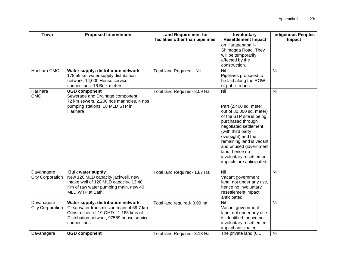| <b>Town</b>                           | <b>Proposed Intervention</b>                                                                                                                                                          | <b>Land Requirement for</b><br>facilities other than pipelines | Involuntary<br><b>Resettlement Impact</b>                                                                                                                                                                                                                                                                    | <b>Indigenous Peoples</b><br>Impact |
|---------------------------------------|---------------------------------------------------------------------------------------------------------------------------------------------------------------------------------------|----------------------------------------------------------------|--------------------------------------------------------------------------------------------------------------------------------------------------------------------------------------------------------------------------------------------------------------------------------------------------------------|-------------------------------------|
|                                       |                                                                                                                                                                                       |                                                                | on Harapanahalli-<br>Shimogga Road. They<br>will be temporarily<br>affected by the<br>construction.                                                                                                                                                                                                          |                                     |
| Harihara CMC                          | Water supply: distribution network<br>178.59 km water supply distribution<br>network, 14,000 House service<br>connections, 16 Bulk meters.                                            | <b>Total land Required - Nil</b>                               | Nil<br>Pipelines proposed to<br>be laid along the ROW<br>of public roads                                                                                                                                                                                                                                     | Nil                                 |
| Harihara<br><b>CMC</b>                | <b>UGD component</b><br>Sewerage and Drainage component<br>72 km sewers, 2,200 nos manholes, 4 nos<br>pumping stations, 18 MLD STP in<br>Harihara                                     | Total land Required- 8.09 Ha                                   | Nil<br>Part (2,400 sq. meter<br>out of 80,000 sq. meter)<br>of the STP site is being<br>purchased through<br>negotiated settlement<br>(with third party<br>oversight) and the<br>remaining land is vacant<br>and unused government<br>land; hence no<br>involuntary resettlement<br>impacts are anticipated. | Nil                                 |
| Davanagere<br><b>City Corporation</b> | <b>Bulk water supply</b><br>New 120 MLD capacity jackwell, new<br>Intake well of 120 MLD capacity, 13.40<br>Km of raw water pumping main, new 40<br>MLD WTP at Bathi                  | Total land Required- 1.87 Ha                                   | <b>Nil</b><br>Vacant government<br>land, not under any use,<br>hence no involuntary<br>resettlement impact<br>anticipated.                                                                                                                                                                                   | Nil                                 |
| Davanagere<br><b>City Corporation</b> | Water supply: distribution network.<br>Clear water transmission main of 59.7 km<br>Construction of 19 OHTs, 1,163 kms of<br>Distribution network, 97589 house service<br>connections. | Total land required- 0.99 ha                                   | Nil<br>Vacant government<br>land, not under any use<br>is identified, hence no<br>involuntary resettlement<br>impact anticipated.                                                                                                                                                                            | Nil                                 |
| Davanagere                            | <b>UGD component</b>                                                                                                                                                                  | Total land Required- 3.13 Ha                                   | The private land (0.1                                                                                                                                                                                                                                                                                        | Nil                                 |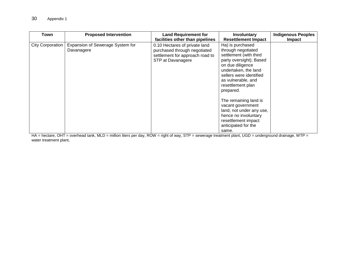| Town                    | <b>Proposed Intervention</b>                   | <b>Land Requirement for</b><br>facilities other than pipelines                                                        | Involuntary<br><b>Resettlement Impact</b>                                                                                                                                                                                  | <b>Indigenous Peoples</b><br>Impact |
|-------------------------|------------------------------------------------|-----------------------------------------------------------------------------------------------------------------------|----------------------------------------------------------------------------------------------------------------------------------------------------------------------------------------------------------------------------|-------------------------------------|
| <b>City Corporation</b> | Expansion of Sewerage System for<br>Davanagere | 0.10 Hectares of private land<br>purchased through negotiated<br>settlement for approach road to<br>STP at Davanagere | Ha) is purchased<br>through negotiated<br>settlement (with third<br>party oversight); Based<br>on due diligence<br>undertaken, the land<br>sellers were identified<br>as vulnerable, and<br>resettlement plan<br>prepared. |                                     |
|                         |                                                |                                                                                                                       | The remaining land is<br>vacant government<br>land, not under any use,<br>hence no involuntary<br>resettlement impact<br>anticipated for the<br>same.                                                                      |                                     |

HA = hectare, OHT = overhead tank, MLD = million liters per day, ROW = right of way, STP = sewerage treatment plant, UGD = underground drainage, WTP = water treatment plant,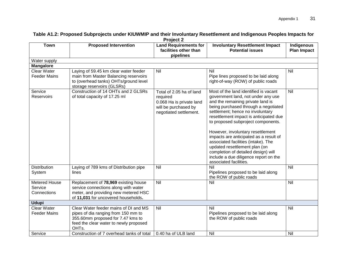| <b>Town</b>                                    | <b>Proposed Intervention</b>                                                                                                                                                      | . <b>.</b> .<br><b>Land Requirements for</b><br>facilities other than<br>pipelines                                 | <b>Involuntary Resettlement Impact</b><br><b>Potential issues</b>                                                                                                                                                                                                                                                                                                                                                                                                                                                                             | Indigenous<br><b>Plan Impact</b> |  |
|------------------------------------------------|-----------------------------------------------------------------------------------------------------------------------------------------------------------------------------------|--------------------------------------------------------------------------------------------------------------------|-----------------------------------------------------------------------------------------------------------------------------------------------------------------------------------------------------------------------------------------------------------------------------------------------------------------------------------------------------------------------------------------------------------------------------------------------------------------------------------------------------------------------------------------------|----------------------------------|--|
| Water supply                                   |                                                                                                                                                                                   |                                                                                                                    |                                                                                                                                                                                                                                                                                                                                                                                                                                                                                                                                               |                                  |  |
| <b>Mangalore</b>                               |                                                                                                                                                                                   |                                                                                                                    |                                                                                                                                                                                                                                                                                                                                                                                                                                                                                                                                               |                                  |  |
| Clear Water<br><b>Feeder Mains</b>             | Laying of 59.45 km clear water feeder<br>main from Master Balancing reservoirs<br>to (overhead tanks) OHTs/ground level<br>storage reservoirs (GLSRs)                             | Nil                                                                                                                | Nil<br>Pipe lines proposed to be laid along<br>right-of-way (ROW) of public roads                                                                                                                                                                                                                                                                                                                                                                                                                                                             | Nil                              |  |
| Service<br>Reservoirs                          | Construction of 14 OHTs and 2 GLSRs<br>of total capacity of 17.25 ml                                                                                                              | Total of 2.05 ha of land<br>required<br>0.068 Ha is private land<br>will be purchased by<br>negotiated settlement. | Most of the land identified is vacant<br>government land, not under any use<br>and the remaining private land is<br>being purchased through a negotiated<br>settlement; hence no involuntary<br>resettlement impact is anticipated due<br>to proposed subproject components.<br>However, involuntary resettlement<br>impacts are anticipated as a result of<br>associated facilities (intake). The<br>updated resettlement plan (on<br>completion of detailed design) will<br>include a due diligence report on the<br>associated facilities. | Nil                              |  |
| <b>Distribution</b><br>System                  | Laying of 789 kms of Distribution pipe<br>lines                                                                                                                                   | Nil                                                                                                                | Nil<br>Pipelines proposed to be laid along<br>the ROW of public roads                                                                                                                                                                                                                                                                                                                                                                                                                                                                         | Nil                              |  |
| <b>Metered House</b><br>Service<br>Connections | Replacement of 78,969 existing house<br>service connections along with water<br>meter, and providing new metered HSC<br>of 11,031 for uncovered households.                       | Nil                                                                                                                | Nil                                                                                                                                                                                                                                                                                                                                                                                                                                                                                                                                           | Nil                              |  |
| <b>Udupi</b>                                   |                                                                                                                                                                                   |                                                                                                                    |                                                                                                                                                                                                                                                                                                                                                                                                                                                                                                                                               |                                  |  |
| <b>Clear Water</b><br><b>Feeder Mains</b>      | Clear Water feeder mains of DI and MS<br>pipes of dia ranging from 150 mm to<br>355.60mm proposed for 7.47 kms to<br>feed the clear water to newly proposed<br>OHT <sub>s</sub> . | Nil                                                                                                                | Nil<br>Pipelines proposed to be laid along<br>the ROW of public roads                                                                                                                                                                                                                                                                                                                                                                                                                                                                         | Nil                              |  |
| Service                                        | Construction of 7 overhead tanks of total                                                                                                                                         | 0.40 ha of ULB land                                                                                                | Nil                                                                                                                                                                                                                                                                                                                                                                                                                                                                                                                                           | Nil                              |  |

#### **Table A1.2: Proposed Subprojects under KIUWMIP and their Involuntary Resettlement and Indigenous Peoples Impacts for Project 2**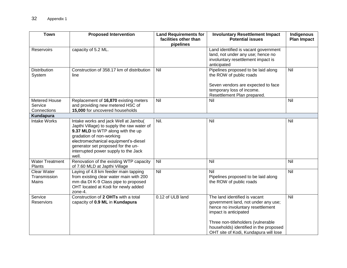| <b>Town</b>                                        | <b>Proposed Intervention</b>                                                                                                                                                                                                                                                       | <b>Land Requirements for</b><br>facilities other than<br>pipelines | <b>Involuntary Resettlement Impact</b><br><b>Potential issues</b>                                                                                                                                                                                           | Indigenous<br><b>Plan Impact</b> |
|----------------------------------------------------|------------------------------------------------------------------------------------------------------------------------------------------------------------------------------------------------------------------------------------------------------------------------------------|--------------------------------------------------------------------|-------------------------------------------------------------------------------------------------------------------------------------------------------------------------------------------------------------------------------------------------------------|----------------------------------|
| Reservoirs                                         | capacity of 5.2 ML.                                                                                                                                                                                                                                                                |                                                                    | Land identified is vacant government<br>land, not under any use; hence no<br>involuntary resettlement impact is<br>anticipated                                                                                                                              |                                  |
| Distribution<br>System                             | Construction of 358.17 km of distribution<br>line                                                                                                                                                                                                                                  |                                                                    | Pipelines proposed to be laid along<br>the ROW of public roads<br>Seven vendors are expected to face<br>temporary loss of income.<br>Resettlement Plan prepared.                                                                                            | Nil                              |
| Metered House<br>Service<br>Connections            | Replacement of 16,870 existing meters<br>and providing new metered HSC of<br>15,000 for uncovered households                                                                                                                                                                       | Nil                                                                | Nil                                                                                                                                                                                                                                                         | Nil                              |
| Kundapura                                          |                                                                                                                                                                                                                                                                                    |                                                                    |                                                                                                                                                                                                                                                             |                                  |
| <b>Intake Works</b>                                | Intake works and jack Well at Jambu(<br>Japthi Village) to supply the raw water of<br>9.37 MLD to WTP along with the up<br>gradation of non-working<br>electromechanical equipment's-diesel<br>generator set proposed for the un-<br>interrupted power supply to the Jack<br>well. | Nil.                                                               | Nil                                                                                                                                                                                                                                                         | Nil                              |
| <b>Water Treatment</b><br>Plants                   | Renovation of the existing WTP capacity<br>of 7.60 MLD at Japthi Village                                                                                                                                                                                                           | Nil                                                                | Nil                                                                                                                                                                                                                                                         | $\overline{N}$                   |
| <b>Clear Water</b><br>Transmission<br><b>Mains</b> | Laying of 4.8 km feeder main tapping<br>from existing clear water main with 200<br>mm dia DI K-9 Class pipe to proposed<br>OHT located at Kodi for newly added<br>zone-4.                                                                                                          | <b>Nil</b>                                                         | Nil<br>Pipelines proposed to be laid along<br>the ROW of public roads                                                                                                                                                                                       | Nil                              |
| Service<br>Reserviors                              | Construction of 2 OHTs with a total<br>capacity of 0.9 ML in Kundapura                                                                                                                                                                                                             | 0.12 of ULB land                                                   | The land identified is vacant<br>government land, not under any use;<br>hence no involuntary resettlement<br>impact is anticipated<br>Three non-titleholders (vulnerable<br>households) identified in the proposed<br>OHT site of Kodi, Kundapura will lose | Nil                              |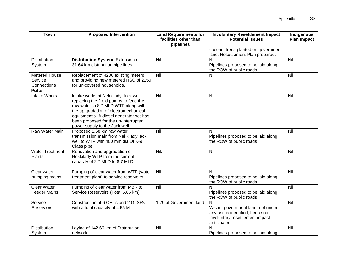| <b>Town</b>                               | <b>Proposed Intervention</b>                                                                                                                                                                                                                                                        | <b>Land Requirements for</b><br>facilities other than<br>pipelines | <b>Involuntary Resettlement Impact</b><br><b>Potential issues</b>                                                              | Indigenous<br><b>Plan Impact</b> |  |
|-------------------------------------------|-------------------------------------------------------------------------------------------------------------------------------------------------------------------------------------------------------------------------------------------------------------------------------------|--------------------------------------------------------------------|--------------------------------------------------------------------------------------------------------------------------------|----------------------------------|--|
|                                           |                                                                                                                                                                                                                                                                                     |                                                                    | coconut trees planted on government<br>land. Resettlement Plan prepared.                                                       |                                  |  |
| <b>Distribution</b><br>System             | Distribution System: Extension of<br>31.64 km distribution pipe lines.                                                                                                                                                                                                              | Nil                                                                | $\overline{N}$<br>Pipelines proposed to be laid along<br>the ROW of public roads                                               | Nil                              |  |
| Metered House<br>Service<br>Connections   | Replacement of 4200 existing meters<br>and providing new metered HSC of 2250<br>for un-covered households.                                                                                                                                                                          | Nil                                                                | Nil                                                                                                                            | Nil                              |  |
| <b>Puttur</b>                             |                                                                                                                                                                                                                                                                                     |                                                                    |                                                                                                                                |                                  |  |
| <b>Intake Works</b>                       | Intake works at Nekkilady Jack well -<br>replacing the 2 old pumps to feed the<br>raw water to 8.7 MLD WTP along with<br>the up gradation of electromechanical<br>equipment's.-A diesel generator set has<br>been proposed for the un-interrupted<br>power supply to the Jack well. | Nil.                                                               | Nil                                                                                                                            | Nil                              |  |
| Raw Water Main                            | Proposed 1.68 km raw water<br>transmission main from Nekkilady jack<br>well to WTP with 400 mm dia DI K-9<br>Class pipe.                                                                                                                                                            | Nil                                                                | Nil<br>Pipelines proposed to be laid along<br>the ROW of public roads                                                          | Nil                              |  |
| <b>Water Treatment</b><br>Plants          | Renovation and upgradation of<br>Nekkilady WTP from the current<br>capacity of 2.7 MLD to 8.7 MLD                                                                                                                                                                                   | Nil.                                                               | Nil                                                                                                                            | Nil                              |  |
| Clear water<br>pumping mains              | Pumping of clear water from WTP (water<br>treatment plant) to service reservoirs                                                                                                                                                                                                    | Nil.                                                               | Nil<br>Pipelines proposed to be laid along<br>the ROW of public roads                                                          | Nil                              |  |
| <b>Clear Water</b><br><b>Feeder Mains</b> | Pumping of clear water from MBR to<br>Service Reservoirs (Total 5.06 km)                                                                                                                                                                                                            | Nil                                                                | Nil<br>Pipelines proposed to be laid along<br>the ROW of public roads                                                          | Nil                              |  |
| Service<br>Reserviors                     | Construction of 6 OHTs and 2 GLSRs<br>with a total capacity of 4.55 ML                                                                                                                                                                                                              | 1.79 of Government land                                            | Nil<br>Vacant government land, not under<br>any use is identified, hence no<br>involuntary resettlement impact<br>anticipated. | Nil                              |  |
| Distribution<br>System                    | Laying of 142.66 km of Distribution<br>network                                                                                                                                                                                                                                      | Nil                                                                | Nil<br>Pipelines proposed to be laid along                                                                                     | Nil                              |  |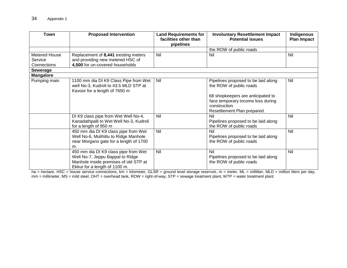| <b>Town</b>                             | <b>Proposed Intervention</b><br><b>Land Requirements for</b><br>facilities other than<br>pipelines                                                 |     | <b>Involuntary Resettlement Impact</b><br><b>Potential issues</b>                                                      |     |  |
|-----------------------------------------|----------------------------------------------------------------------------------------------------------------------------------------------------|-----|------------------------------------------------------------------------------------------------------------------------|-----|--|
|                                         |                                                                                                                                                    |     | the ROW of public roads                                                                                                |     |  |
| Metered House<br>Service<br>Connections | Replacement of 8,441 existing meters<br>and providing new metered HSC of<br>4,500 for un-covered households                                        | Nil | Nil                                                                                                                    | Nil |  |
| <b>Sewerage</b>                         |                                                                                                                                                    |     |                                                                                                                        |     |  |
| <b>Mangalore</b>                        |                                                                                                                                                    |     |                                                                                                                        |     |  |
| Pumping main                            | 1100 mm dia DI K9 Class Pipe from Wet<br>well No-3, Kudroli to 43.5 MLD STP at<br>Kavoor for a length of 7650 m                                    | Nil | Pipelines proposed to be laid along<br>the ROW of public roads                                                         | Nil |  |
|                                         |                                                                                                                                                    |     | 68 shopkeepers are anticipated to<br>face temporary income loss during<br>construction.<br>Resettlement Plan prepared. |     |  |
|                                         | DI K9 class pipe from Wet Well No-4,<br>Kanadathpalli to Wet Well No-3, Kudroli<br>for a length of 950 m                                           | Nil | Nil<br>Pipelines proposed to be laid along<br>the ROW of public roads                                                  | Nil |  |
|                                         | 450 mm dia DI K9 class pipe from Wet<br>Well No-6, Mulihitlu to Ridge Manhole<br>near Morgans gate for a length of 1700<br>m.                      | Nil | Nil<br>Pipelines proposed to be laid along<br>the ROW of public roads                                                  | Nil |  |
|                                         | 450 mm dia DI K9 class pipe from Wet<br>Well No-7, Jeppu Bappal to Ridge<br>Manhole inside premises of old STP at<br>Ekkur for a length of 1100 m. | Nil | Nil<br>Pipelines proposed to be laid along<br>the ROW of public roads                                                  | Nil |  |

ha = hectare, HSC = house service connections, km = kilometer, GLSR = ground level storage reservoir, m = meter, ML = milliliter, MLD = million liters per day, mm = millimeter, MS = mild steel, OHT = overhead tank, ROW = right-of-way, STP = sewage treatment plant, WTP = water treatment plant.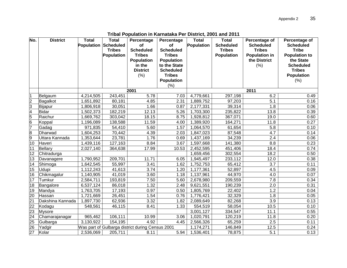| No.                     | <b>District</b>  | <b>Total</b> | <b>Total</b>         | Percentage                                       | Percentage        | <b>Total</b> | <b>Total</b>      | Percentage of        | Percentage of        |
|-------------------------|------------------|--------------|----------------------|--------------------------------------------------|-------------------|--------------|-------------------|----------------------|----------------------|
|                         |                  |              | Population Scheduled | of                                               | of                | Population   | <b>Scheduled</b>  | <b>Scheduled</b>     | <b>Scheduled</b>     |
|                         |                  |              | <b>Tribes</b>        | <b>Scheduled</b>                                 | <b>Scheduled</b>  |              | <b>Tribes</b>     | <b>Tribes</b>        | <b>Tribe</b>         |
|                         |                  |              | Population           | <b>Tribes</b>                                    | <b>Tribes</b>     |              | <b>Population</b> | <b>Population in</b> | <b>Population to</b> |
|                         |                  |              |                      | <b>Population</b>                                | <b>Population</b> |              |                   | the District         | the State            |
|                         |                  |              |                      | in the                                           | to the State      |              |                   | (% )                 | <b>Scheduled</b>     |
|                         |                  |              |                      | <b>District</b>                                  | <b>Scheduled</b>  |              |                   |                      | <b>Tribes</b>        |
|                         |                  |              |                      | (% )                                             | <b>Tribes</b>     |              |                   |                      | <b>Population</b>    |
|                         |                  |              |                      |                                                  | <b>Population</b> |              |                   |                      | $(\% )$              |
|                         |                  |              |                      | 2001                                             | (% )              |              |                   | 2011                 |                      |
| 1                       | Belgaum          | 4,214,505    | 243,451              | 5.78                                             | 7.03              | 4,779,661    | 297,198           | 6.2                  | 0.49                 |
| $\overline{c}$          | Bagalkot         | 1,651,892    | 80,181               | 4.85                                             | 2.31              | 1,889,752    | 97,203            | 5.1                  | 0.16                 |
| 3                       | Bijapur          | 1,806,918    | 30,051               | 1.66                                             | 0.87              | 2,177,331    | 39,314            | 1.8                  | 0.06                 |
| 4                       | <b>Bidar</b>     | 1,502,373    | 182,219              | 12.13                                            | 5.26              | 1,703,300    | 235,822           | 13.8                 | 0.39                 |
| 5                       | Raichur          | 1,669,762    | 303,042              | 18.15                                            | 8.75              | 1,928,812    | 367,071           | 19.0                 | 0.60                 |
| 6                       | Koppal           | 1,196,089    | 138,588              | 11.59                                            | 4.00              | 1,389,920    | 164,271           | 11.8                 | 0.27                 |
| 7                       | Gadag            | 971,835      | 54,410               | 5.60                                             | 1.57              | 1,064,570    | 61,654            | 5.8                  | 0.10                 |
| $\overline{\mathbf{8}}$ | <b>Dharwad</b>   | 1,604,253    | 70,442               | 4.39                                             | 2.03              | 1,847,023    | 87,548            | 4.7                  | 0.14                 |
| 9                       | Uttara Kannada   | 1,353,644    | 23,781               | 1.76                                             | 0.69              | 1,437,169    | 34,239            | 2.4                  | 0.06                 |
| 10                      | Haveri           | 1,439,116    | 127,163              | 8.84                                             | 3.67              | 1,597,668    | 141,380           | 8.8                  | 0.23                 |
| 11                      | <b>Bellary</b>   | 2,027,140    | 364,638              | 17.99                                            | 10.53             | 2,452,595    | 451,406           | 18.4                 | 0.74                 |
| 12                      | Chitradurga      |              |                      |                                                  |                   | 1,659,456    | 302,554           | 18.2                 | 0.50                 |
| 13                      | Davanagere       | 1,790,952    | 209,701              | 11.71                                            | 6.05              | 1,945,497    | 233,112           | 12.0                 | 0.38                 |
| 14                      | Shimoga          | 1,642,545    | 55,997               | 3.41                                             | 1.62              | 1,752,753    | 65,412            | 3.7                  | 0.11                 |
| 15                      | <b>Udupi</b>     | 1,112,243    | 41,613               | $\overline{3.74}$                                | 1.20              | 1,177,361    | 52,897            | 4.5                  | 0.09                 |
| 16                      | Chikmagalur      | 1,140,905    | 41,019               | 3.60                                             | 1.18              | 1,137,961    | 44,970            | 4.0                  | 0.07                 |
| 17                      | Tumkur           | 2,584,711    | 193,819              | 7.50                                             | 5.60              | 2,678,980    | 209,559           | 7.8                  | 0.34                 |
| 18                      | Bangalore        | 6,537,124    | 86,018               | 1.32                                             | 2.48              | 9,621,551    | 190,239           | 2.0                  | 0.31                 |
| 19                      | Mandya           | 1,763,705    | 17,193               | 0.97                                             | 0.50              | 1,805,769    | 22,402            | 1.2                  | 0.04                 |
| $\overline{20}$         | Hassan           | 1,721,669    | 26,451               | 1.54                                             | 0.76              | 1,776,421    | 32,329            | 1.8                  | 0.05                 |
| $\overline{21}$         | Dakshina Kannada | 1,897,730    | 62,936               | 3.32                                             | 1.82              | 2,089,649    | 82,268            | 3.9                  | 0.13                 |
| $\overline{22}$         | Kodagu           | 548,561      | $\overline{46,115}$  | 8.41                                             | 1.33              | 554,519      | 58,054            | 10.5                 | 0.10                 |
| 23                      | <b>Mysore</b>    |              |                      |                                                  |                   | 3,001,127    | 334,547           | 11.1                 | 0.55                 |
| $\overline{24}$         | Chamarajanagar   | 965,462      | 106,111              | 10.99                                            | 3.06              | 1,020,791    | 120,219           | 11.8                 | 0.20                 |
| $\overline{25}$         | Gulbarga         | 3,130,922    | 154,195              | 4.92                                             | 4.45              | 2,566,326    | 65,259            | 2.5                  | 0.11                 |
| 26                      | Yadgir           |              |                      | Was part of Gulbarga district during Census 2001 |                   | 1,174,271    | 146,849           | 12.5                 | 0.24                 |
| $\overline{27}$         | Kolar            | 2,536,069    | 205,711              | 8.11                                             | 5.94              | 1,536,401    | 78,875            | 5.1                  | 0.13                 |

**Tribal Population in Karnataka Per District, 2001 and 2011**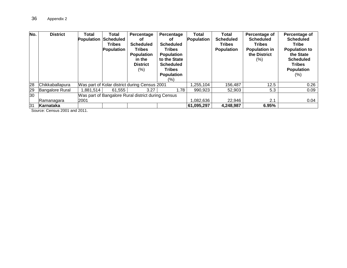| No. | <b>District</b>        | Total     | Total<br><b>Population Scheduled</b><br>Tribes<br>Population | Percentage<br>οf<br><b>Scheduled</b><br><b>Tribes</b><br><b>Population</b><br>in the<br><b>District</b><br>$(\% )$ | Percentage<br>οf<br><b>Scheduled</b><br><b>Tribes</b><br><b>Population</b><br>to the State<br><b>Scheduled</b><br>Tribes<br><b>Population</b><br>(%) | Total<br>Population | Total<br><b>Scheduled</b><br><b>Tribes</b><br><b>Population</b> | Percentage of<br><b>Scheduled</b><br><b>Tribes</b><br><b>Population in</b><br>the District<br>$(\%)$ | Percentage of<br><b>Scheduled</b><br><b>Tribe</b><br><b>Population to</b><br>the State<br><b>Scheduled</b><br><b>Tribes</b><br><b>Population</b><br>$(\%)$ |
|-----|------------------------|-----------|--------------------------------------------------------------|--------------------------------------------------------------------------------------------------------------------|------------------------------------------------------------------------------------------------------------------------------------------------------|---------------------|-----------------------------------------------------------------|------------------------------------------------------------------------------------------------------|------------------------------------------------------------------------------------------------------------------------------------------------------------|
| 28  | Chikkaballapura        |           |                                                              | Was part of Kolar district during Census 2001                                                                      |                                                                                                                                                      | ,255,104            | 156,487                                                         | 12.5                                                                                                 | 0.26                                                                                                                                                       |
| 29  | <b>Bangalore Rural</b> | 1,881,514 | 61,555                                                       | 3.27                                                                                                               | 1.78                                                                                                                                                 | 990,923             | 52,903                                                          | 5.3                                                                                                  | 0.09                                                                                                                                                       |
| 30  |                        |           |                                                              | Was part of Bangalore Rural district during Census                                                                 |                                                                                                                                                      |                     |                                                                 |                                                                                                      |                                                                                                                                                            |
|     | Ramanagara             | 2001      |                                                              |                                                                                                                    |                                                                                                                                                      | .082.636            | 22.946                                                          | 2.1                                                                                                  | 0.04                                                                                                                                                       |
| 31  | Karnataka              |           |                                                              |                                                                                                                    |                                                                                                                                                      | 61,095,297          | 4,248,987                                                       | 6.95%                                                                                                |                                                                                                                                                            |

Source: Census 2001 and 2011.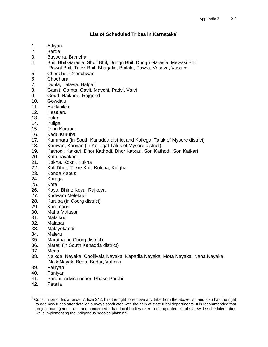# **List of Scheduled Tribes in Karnataka**<sup>1</sup>

- 1. Adiyan
- 2. Barda
- 3. Bavacha, Bamcha
- 4. Bhil, Bhil Garasia, Sholi Bhil, Dungri Bhil, Dungri Garasia, Mewasi Bhil, Rawal Bhil, Tadvi Bhil, Bhagalia, Bhilala, Pawra, Vasava, Vasave
- 5. Chenchu, Chenchwar
- 6. Chodhara
- 7. Dubla, Talavia, Halpati
- 8. Gamit, Gamta, Gavit, Mavchi, Padvi, Valvi
- 9. Goud, Naikpod, Rajgond
- 10. Gowdalu
- 11. Hakkipikki
- 12. Hasalaru
- 13. Irular
- 14. Iruliga
- 15. Jenu Kuruba
- 16. Kadu Kuruba
- 17. Kammara (in South Kanadda district and Kollegal Taluk of Mysore district)
- 18. Kanivan, Kanyan (in Kollegal Taluk of Mysore district)
- 19. Kathodi, Katkari, Dhor Kathodi, Dhor Katkari, Son Kathodi, Son Katkari
- 20. Kattunayakan
- 21. Kokna, Kokni, Kukna
- 22. Koli Dhor, Tokre Koli, Kolcha, Kolgha
- 23. Konda Kapus
- 24. Koraga
- 25. Kota
- 26. Koya, Bhine Koya, Rajkoya
- 27. Kudiyam Melekudi
- 28. Kuruba (in Coorg district)
- 29. Kurumans
- 30. Maha Malasar
- 31. Malaikudi
- 32. Malasar
- 33. Malayekandi
- 34. Maleru
- 35. Maratha (in Coorg district)
- 36. Marati (in South Kanadda district)
- 37. Meda
- 38. Naikda, Nayaka, Chollivala Nayaka, Kapadia Nayaka, Mota Nayaka, Nana Nayaka, Naik Nayak, Beda, Bedar, Valmiki
- 39. Palliyan
- 40. Paniyan
- 41. Pardhi, Advichincher, Phase Pardhi
- 42. Patelia

 $\overline{a}$ 

 $1$  Constitution of India, under Article 342, has the right to remove any tribe from the above list, and also has the right to add new tribes after detailed surveys conducted with the help of state tribal departments. It is recommended that project management unit and concerned urban local bodies refer to the updated list of statewide scheduled tribes while implementing the indigenous peoples planning.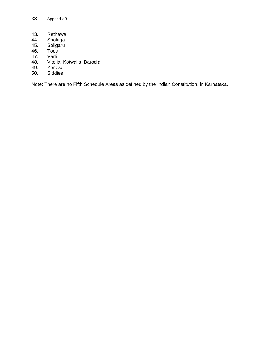- 43. Rathawa<br>44. Sholaga
- 44. Sholaga<br>45. Soligaru<br>46. Toda
- Soligaru
- 46. Toda<br>47. Varli
- 
- 47. Varli<br>48. Vitolia Vitolia, Kotwalia, Barodia
- 49. Yerava<br>50. Siddies
- Siddies

Note: There are no Fifth Schedule Areas as defined by the Indian Constitution, in Karnataka.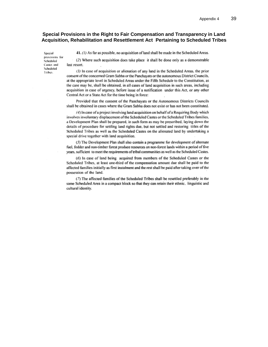#### **Special Provisions in the Right to Fair Compensation and Transparency in Land Acquisition, Rehabilitation and Resettlement Act Pertaining to Scheduled Tribes**

Special provisions for Scheduled Castes and Scheduled Tribes

41. (1) As far as possible, no acquisition of land shall be made in the Scheduled Areas.

(2) Where such acquisition does take place it shall be done only as a demonstrable last resort.

(3) In case of acquisition or alienation of any land in the Scheduled Areas, the prior consent of the concerned Gram Sabha or the Panchayats or the autonomous District Councils. at the appropriate level in Scheduled Areas under the Fifth Schedule to the Constitution, as the case may be, shall be obtained, in all cases of land acquisition in such areas, including acquisition in case of urgency, before issue of a notification under this Act, or any other Central Act or a State Act for the time being in force:

Provided that the consent of the Panchayats or the Autonomous Districts Councils shall be obtained in cases where the Gram Sabha does not exist or has not been constituted.

(4) In case of a project involving land acquisition on behalf of a Requiring Body which involves involuntary displacement of the Scheduled Castes or the Scheduled Tribes families, a Development Plan shall be prepared, in such form as may be prescribed, laying down the details of procedure for settling land rights due, but not settled and restoring titles of the Scheduled Tribes as well as the Scheduled Castes on the alienated land by undertaking a special drive together with land acquisition.

(5) The Development Plan shall also contain a programme for development of alternate fuel, fodder and non-timber forest produce resources on non-forest lands within a period of five years, sufficient to meet the requirements of tribal communities as well as the Scheduled Castes.

(6) In case of land being acquired from members of the Scheduled Castes or the Scheduled Tribes, at least one-third of the compensation amount due shall be paid to the affected families initially as first instalment and the rest shall be paid after taking over of the possession of the land.

(7) The affected families of the Scheduled Tribes shall be resettled preferably in the same Scheduled Area in a compact block so that they can retain their ethnic. linguistic and cultural identity.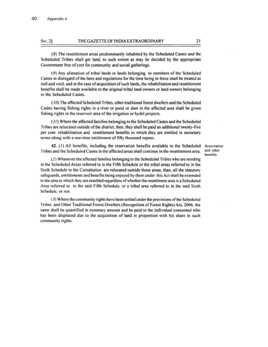#### THE GAZETTE OF INDIA EXTRAORDINARY Sec. 2]

(8) The resettlement areas predominantly inhabited by the Scheduled Castes and the Scheduled Tribes shall get land, to such extent as may be decided by the appropriate Government free of cost for community and social gatherings.

(9) Any alienation of tribal lands or lands belonging to members of the Scheduled Castes in disregard of the laws and regulations for the time being in force shall be treated as null and void, and in the case of acquisition of such lands, the rehabilitation and resettlement benefits shall be made available to the original tribal land owners or land owners belonging to the Scheduled Castes.

(10) The affected Scheduled Tribes, other traditional forest dwellers and the Scheduled Castes having fishing rights in a river or pond or dam in the affected area shall be given fishing rights in the reservoir area of the irrigation or hydel projects.

(11) Where the affected families belonging to the Scheduled Castes and the Scheduled Tribes are relocated outside of the district, then, they shall be paid an additional twenty-five per cent. rehabilitation and resettlement benefits to which they are entitled in monetary terms along with a one-time entitlement of fifty thousand rupees.

42. (1) All benefits, including the reservation benefits available to the Scheduled Tribes and the Scheduled Castes in the affected areas shall continue in the resettlement area.

Reservation and other benefits

(2) Whenever the affected families belonging to the Scheduled Tribes who are residing in the Scheduled Areas referred to in the Fifth Schedule or the tribal areas referred to in the Sixth Schedule to the Constitution are relocated outside those areas, than, all the statutory safeguards, entitlements and benefits being enjoyed by them under this Act shall be extended to the area to which they are resettled regardless of whether the resettlment area is a Scheduled Area referred to in the said Fifth Schedule, or a tribal area referred to in the said Sixth Schedule, or not.

(3) Where the community rights have been settled under the provisions of the Scheduled Tribes and Other Traditional Forest Dwellers (Recognition of Forest Rights) Act, 2006, the same shall be quantified in monetary amount and be paid to the individual concerned who has been displaced due to the acquisition of land in proportion with his share in such community rights.

21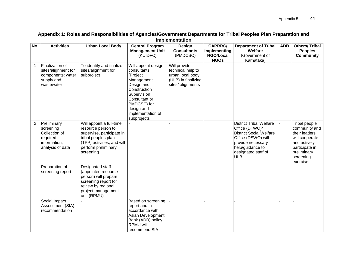| No.            | <b>Activities</b>                                                                         | <b>Urban Local Body</b>                                                                                                                                              | <b>Central Program</b><br><b>Management Unit</b><br>(KUIDFC)                                                                                                                                | Design<br><b>Consultants</b><br>(PMDCSC)                                                          | <b>CAPRRC/</b><br>Implementing<br>NGO/Local<br><b>NGOs</b> | <b>Department of Tribal</b><br>Welfare<br>(Government of<br>Karnataka)                                                                                                                 | <b>ADB</b> | <b>Others/Tribal</b><br><b>Peoples</b><br><b>Community</b>                                                                                  |
|----------------|-------------------------------------------------------------------------------------------|----------------------------------------------------------------------------------------------------------------------------------------------------------------------|---------------------------------------------------------------------------------------------------------------------------------------------------------------------------------------------|---------------------------------------------------------------------------------------------------|------------------------------------------------------------|----------------------------------------------------------------------------------------------------------------------------------------------------------------------------------------|------------|---------------------------------------------------------------------------------------------------------------------------------------------|
| $\mathbf 1$    | Finalization of<br>sites/alignment for<br>components: water<br>supply and<br>wastewater   | To identify and finalize<br>sites/alignment for<br>subproject                                                                                                        | Will appoint design<br>consultants<br>(Project<br>Management<br>Design and<br>Construction<br>Supervision<br>Consultant or<br>PMDCSC) for<br>design and<br>implementation of<br>subprojects | Will provide<br>technical help to<br>urban local body<br>(ULB) in finalizing<br>sites/ alignments |                                                            |                                                                                                                                                                                        |            |                                                                                                                                             |
| $\overline{2}$ | Preliminary<br>screening<br>Collection of<br>required<br>information,<br>analysis of data | Will appoint a full-time<br>resource person to<br>supervise, participate in<br>tribal peoples plan<br>(TPP) activities, and will<br>perform preliminary<br>screening |                                                                                                                                                                                             |                                                                                                   |                                                            | <b>District Tribal Welfare</b><br>Office (DTWO)/<br><b>District Social Welfare</b><br>Office (DSWO) will<br>provide necessary<br>help/guidance to<br>designated staff of<br><b>ULB</b> |            | Tribal people<br>community and<br>their leaders<br>will cooperate<br>and actively<br>participate in<br>preliminary<br>screening<br>exercise |
|                | Preparation of<br>screening report                                                        | Designated staff<br>(appointed resource<br>person) will prepare<br>screening report for<br>review by regional<br>project management<br>unit (RPMU)                   |                                                                                                                                                                                             |                                                                                                   |                                                            |                                                                                                                                                                                        |            |                                                                                                                                             |
|                | Social Impact<br>Assessment (SIA)<br>recommendation                                       |                                                                                                                                                                      | Based on screening<br>report and in<br>accordance with<br>Asian Development<br>Bank (ADB) policy,<br><b>RPMU will</b><br>recommend SIA                                                      |                                                                                                   |                                                            |                                                                                                                                                                                        |            |                                                                                                                                             |

#### **Appendix 1: Roles and Responsibilities of Agencies/Government Departments for Tribal Peoples Plan Preparation and Implementation**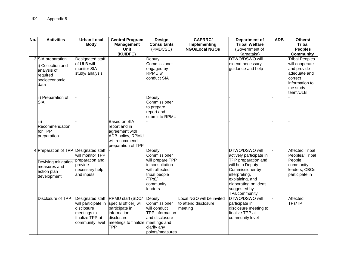| No. | <b>Activities</b>                                                                                          | <b>Urban Local</b><br><b>Body</b>                                                                          | <b>Central Program</b><br><b>Management</b><br><b>Unit</b><br>(KUIDFC)                                                         | Design<br><b>Consultants</b><br>(PMDCSC)                                                                                             | <b>CAPRRC/</b><br>Implementing<br><b>NGO/Local NGOs</b>      | Department of<br><b>Tribal Welfare</b><br>(Government of<br>Karnataka)                                                                                                                               | <b>ADB</b> | Others/<br><b>Tribal</b><br><b>Peoples</b><br><b>Community</b>                                                               |
|-----|------------------------------------------------------------------------------------------------------------|------------------------------------------------------------------------------------------------------------|--------------------------------------------------------------------------------------------------------------------------------|--------------------------------------------------------------------------------------------------------------------------------------|--------------------------------------------------------------|------------------------------------------------------------------------------------------------------------------------------------------------------------------------------------------------------|------------|------------------------------------------------------------------------------------------------------------------------------|
|     | 3 SIA preparation<br>i) Collection and<br>analysis of<br>required<br>socioeconomic<br>data                 | Designated staff<br>of ULB will<br><b>monitor SIA</b><br>study/ analysis                                   |                                                                                                                                | Deputy<br>Commissioner<br>engaged by<br><b>RPMU will</b><br>conduct SIA                                                              |                                                              | DTWO/DSWO will<br>extend necessary<br>guidance and help                                                                                                                                              |            | <b>Tribal Peoples</b><br>will cooperate<br>and provide<br>adequate and<br>correct<br>information to<br>the study<br>team/ULB |
|     | ii) Preparation of<br><b>SIA</b>                                                                           |                                                                                                            |                                                                                                                                | Deputy<br>Commissioner<br>to prepare<br>report and<br>submit to RPMU                                                                 |                                                              |                                                                                                                                                                                                      |            |                                                                                                                              |
|     | liii)<br>Recommendation<br>for TPP<br>preparation                                                          |                                                                                                            | <b>Based on SIA</b><br>report and in<br>agreement with<br>ADB policy, RPMU<br>will recommend<br>preparation of TPP             |                                                                                                                                      |                                                              |                                                                                                                                                                                                      |            |                                                                                                                              |
|     | 4 Preparation of TPP Designated staff<br>Devising mitigation<br>measures and<br>action plan<br>development | will monitor TPP<br>preparation and<br>provide<br>necessary help<br>and inputs                             |                                                                                                                                | Deputy<br>Commissioner<br>will prepare TPP<br>in consultation<br>with affected<br>tribal people<br>$(TPs)$ /<br>community<br>leaders |                                                              | DTWO/DSWO will<br>actively participate in<br>TPP preparation and<br>will help Deputy<br>Commissioner by<br>interpreting,<br>explaining, and<br>elaborating on ideas<br>suggested by<br>TPs/community |            | <b>Affected Tribal</b><br>Peoples/Tribal<br>People<br>community<br>leaders, CBOs<br>participate in                           |
|     | Disclosure of TPP                                                                                          | Designated staff<br>will participate in<br>disclosure<br>meetings to<br>finalize TPP at<br>community level | RPMU staff (SDO/<br>special officer) will<br>participate in<br>information<br>disclosure<br>meetings to finalize<br><b>TPP</b> | Deputy<br>Commissioner<br>will conduct<br><b>TPP</b> information<br>and disclosure<br>meetings and<br>clarify any<br>points/measures | Local NGO will be invited<br>to attend disclosure<br>meeting | DTWO/DSWO will<br>participate in<br>disclosure meeting to<br>finalize TPP at<br>community level                                                                                                      |            | Affected<br>TPs/TP                                                                                                           |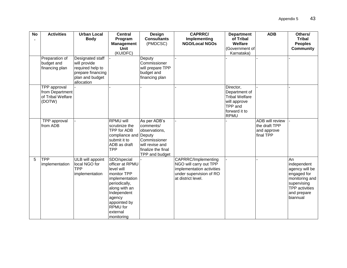| $\overline{N}$ | <b>Activities</b>               | <b>Urban Local</b> | <b>Central</b>               | Design                         | <b>CAPRRC/</b>                        | <b>Department</b>           | <b>ADB</b>             | Others/<br><b>Tribal</b> |
|----------------|---------------------------------|--------------------|------------------------------|--------------------------------|---------------------------------------|-----------------------------|------------------------|--------------------------|
|                |                                 | <b>Body</b>        | Program<br><b>Management</b> | <b>Consultants</b><br>(PMDCSC) | Implementing<br><b>NGO/Local NGOs</b> | of Tribal<br><b>Welfare</b> |                        | <b>Peoples</b>           |
|                |                                 |                    | <b>Unit</b>                  |                                |                                       | (Government of              |                        | <b>Community</b>         |
|                |                                 |                    | (KUIDFC)                     |                                |                                       | Karnataka)                  |                        |                          |
|                | Preparation of                  | Designated staff   |                              | Deputy                         |                                       |                             |                        |                          |
|                | budget and                      | will provide       |                              | Commissioner                   |                                       |                             |                        |                          |
|                | financing plan                  | required help to   |                              | will prepare TPP               |                                       |                             |                        |                          |
|                |                                 | prepare financing  |                              | budget and                     |                                       |                             |                        |                          |
|                |                                 | plan and budget    |                              | financing plan                 |                                       |                             |                        |                          |
|                |                                 | allocation         |                              |                                |                                       |                             |                        |                          |
|                | TPP approval<br>from Department |                    |                              |                                |                                       | Director,<br>Department of  |                        |                          |
|                | of Tribal Welfare               |                    |                              |                                |                                       | Tribal Welfare              |                        |                          |
|                | (DOTW)                          |                    |                              |                                |                                       | will approve                |                        |                          |
|                |                                 |                    |                              |                                |                                       | TPP and                     |                        |                          |
|                |                                 |                    |                              |                                |                                       | forward it to               |                        |                          |
|                |                                 |                    |                              |                                |                                       | RPMU                        |                        |                          |
|                | <b>TPP</b> approval             |                    | <b>RPMU will</b>             | As per ADB's                   |                                       |                             | <b>ADB</b> will review |                          |
|                | from ADB                        |                    | scrutinize the               | comments/                      |                                       |                             | the draft TPP          |                          |
|                |                                 |                    | TPP for ADB                  | observations,                  |                                       |                             | and approve            |                          |
|                |                                 |                    | compliance and               | Deputy                         |                                       |                             | final TPP              |                          |
|                |                                 |                    | submit it to                 | Commissioner                   |                                       |                             |                        |                          |
|                |                                 |                    | ADB as draft                 | will revise and                |                                       |                             |                        |                          |
|                |                                 |                    | <b>TPP</b>                   | finalize the final             |                                       |                             |                        |                          |
|                |                                 |                    |                              | TPP and budget                 |                                       |                             |                        |                          |
| 5              | <b>TPP</b>                      | ULB will appoint   | SDO/special                  |                                | CAPRRC/Implementing                   |                             |                        | An                       |
|                | implementation                  | local NGO for      | officer at RPMU              |                                | NGO will carry out TPP                |                             |                        | independent              |
|                |                                 | <b>TPP</b>         | level will                   |                                | implementation activities             |                             |                        | agency will be           |
|                |                                 | implementation     | monitor TPP                  |                                | under supervision of RO               |                             |                        | engaged for              |
|                |                                 |                    | implementation               |                                | at district level.                    |                             |                        | monitoring and           |
|                |                                 |                    | periodically,                |                                |                                       |                             |                        | supervising              |
|                |                                 |                    | along with an                |                                |                                       |                             |                        | <b>TPP</b> activities    |
|                |                                 |                    | Independent                  |                                |                                       |                             |                        | and prepare              |
|                |                                 |                    | agency                       |                                |                                       |                             |                        | biannual                 |
|                |                                 |                    | appointed by<br>RPMU for     |                                |                                       |                             |                        |                          |
|                |                                 |                    | external                     |                                |                                       |                             |                        |                          |
|                |                                 |                    | monitoring                   |                                |                                       |                             |                        |                          |
|                |                                 |                    |                              |                                |                                       |                             |                        |                          |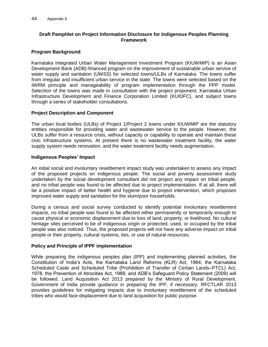#### **Draft Pamphlet on Project Information Disclosure for Indigenous Peoples Planning Framework**

#### **Program Background**

Karnataka Integrated Urban Water Management Investment Program (KIUWMIP) is an Asian Development Bank (ADB)-financed program on the improvement of sustainable urban service of water supply and sanitation (UWSS) for selected towns/ULBs of Karnataka. The towns suffer from irregular and insufficient urban service in the state. The towns were selected based on the IWRM principle and manageability of program implementation through the PPP model. Selection of the towns was made in consultation with the project proponent, Karnataka Urban Infrastructure Development and Finance Corporation Limited (KUIDFC), and subject towns through a series of stakeholder consultations.

#### **Project Description and Component**

The urban local bodies (ULBs) of Project 1/Project 2 towns under KIUWMIP are the statutory entities responsible for providing water and wastewater service to the people. However, the ULBs suffer from a resource crisis, without capacity or capability to operate and maintain these civic infrastructure systems. At present there is no wastewater treatment facility, the water supply system needs renovation, and the water treatment facility needs augmentation.

#### **Indigenous Peoples' Impact**

An initial social and involuntary resettlement impact study was undertaken to assess any impact of the proposed projects on indigenous people. The social and poverty assessment study undertaken by the social development consultant did not project any impact on tribal people, and no tribal people was found to be affected due to project implementation. If at all, there will be a positive impact of better health and hygiene due to project intervention, which proposes improved water supply and sanitation for the slum/poor households.

During a census and social survey conducted to identify potential involuntary resettlement impacts, no tribal people was found to be affected either permanently or temporarily enough to cause physical or economic displacement due to loss of land, property, or livelihood. No cultural heritage sites perceived to be of indigenous origin or protected, used, or occupied by the tribal people was also noticed. Thus, the proposed projects will not have any adverse impact on tribal people or their property, cultural systems, ties, or use of natural resources.

# **Policy and Principle of IPPF implementation**

While preparing the indigenous peoples plan (IPP) and implementing planned activities, the Constitution of India's Acts, the Karnataka Land Reforms (KLR) Act, 1964, the Karnataka Scheduled Caste and Scheduled Tribe (Prohibition of Transfer of Certain Lands–PTCL) Act, 1978, the Prevention of Atrocities Act, 1989, and ADB's Safeguard Policy Statement (2009) will be followed. Land Acquisition Act 2013 prepared by the Ministry of Rural Development, Government of India provide guidance in preparing the IPP, if necessary. RFCTLAR 2013 provides guidelines for mitigating impacts due to involuntary resettlement of the scheduled tribes who would face displacement due to land acquisition for public purpose.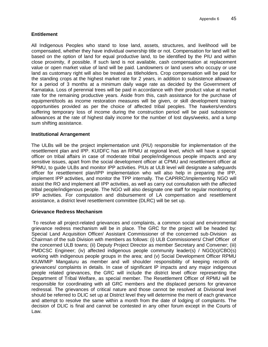#### **Entitlement**

All Indigenous Peoples who stand to lose land, assets, structures, and livelihood will be compensated, whether they have individual ownership title or not. Compensation for land will be based on the option of land for equal productive land, to be identified by the PIU and within close proximity, if possible. If such land is not available, cash compensation at replacement value or open market value of land will be paid. Landowners or land users who occupy or use land as customary right will also be treated as titleholders. Crop compensation will be paid for the standing crops at the highest market rate for 2 years, in addition to subsistence allowance for a period of 3 months at a minimum daily wage rate as decided by the Government of Karnataka. Loss of perennial trees will be paid in accordance with their product value at market rate for the remaining productive years. Aside from this, cash assistance for the purchase of equipment/tools as income restoration measures will be given, or skill development training opportunities provided as per the choice of affected tribal peoples. The hawkers/vendors suffering temporary loss of income during the construction period will be paid subsistence allowances at the rate of highest daily income for the number of lost days/weeks, and a lump sum shifting assistance.

#### **Institutional Arrangement**

The ULBs will be the project implementation unit (PIU) responsible for implementation of the resettlement plan and IPP. KUIDFC has an RPMU at regional level, which will have a special officer on tribal affairs in case of moderate tribal people/indigenous people impacts and any sensitive issues, apart from the social development officer at CPMU and resettlement officer at RPMU, to guide ULBs and monitor IPP activities. PIUs at ULB level will designate a safeguards officer for resettlement plan/IPP implementation who will also help in preparing the IPP, implement IPP activities, and monitor the TPP internally. The CAPRRC/implementing NGO will assist the RO and implement all IPP activities, as well as carry out consultation with the affected tribal people/indigenous people. The NGO will also designate one staff for regular monitoring of IPP activities. For computation and disbursement of LA compensation and resettlement assistance, a district level resettlement committee (DLRC) will be set up.

#### **Grievance Redress Mechanism**

To resolve all project-related grievances and complaints, a common social and environmental grievance redress mechanism will be in place. The GRC for the project will be headed by: Special Land Acquisition Officer/ Assistant Commissioner of the concerned sub-Division as Chairman of the sub Division with members as follows: (i) ULB Commissioners/ Chief Officer of the concerned ULB towns; (ii) Deputy Project Director as member Secretary and Convener; (iii) PMDCSC Engineer; (iv) affected indigenous people community leader(s) / NGO(s)/CBO(s) working with indigenous people groups in the area; and (v) Social Development Officer RPMU KIUWMIP Mangaluru as member and will shoulder responsibility of keeping records of grievances/ complaints in details. In case of significant IP impacts and any major indigenous people related grievances, the GRC will include the district level officer representing the Department of Tribal Welfare, as special member. The Resettlement Officer of RPMU will be responsible for coordinating with all GRC members and the displaced persons for grievance redressal. The grievances of critical nature and those cannot be resolved at Divisional level should be referred to DLIC set up at District level they will determine the merit of each grievance and attempt to resolve the same within a month from the date of lodging of complaints. The decision of DLIC is final and cannot be contested in any other forum except in the Courts of Law.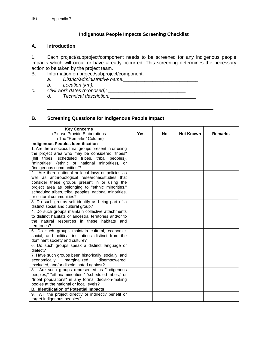#### **Indigenous People Impacts Screening Checklist**

#### **A. Introduction**

1. Each project/subproject/component needs to be screened for any indigenous people impacts which will occur or have already occurred. This screening determines the necessary action to be taken by the project team.

- B. Information on project/subproject/component:
	- *a. District/administrative name:\_\_\_\_\_\_\_\_\_\_\_\_\_\_\_\_\_\_\_\_\_\_\_\_\_\_\_\_*
	- *b. Location (km):\_\_\_\_\_\_\_\_\_\_\_\_\_\_\_\_\_\_\_\_\_\_\_\_\_\_\_\_\_\_\_\_\_\_\_\_\_\_\_*
- *c. Civil work dates (proposed): \_\_\_\_\_\_\_\_\_\_\_\_\_\_\_\_\_\_\_\_\_\_\_\_\_\_\_\_\_*
	- *d. Technical description:*\_\_\_\_\_\_\_\_\_\_\_\_\_\_\_\_\_\_\_\_\_\_\_\_\_\_\_\_\_\_\_\_

#### **B. Screening Questions for Indigenous People Impact**

| <b>Key Concerns</b>                                                                                    |            |           |                  |                |
|--------------------------------------------------------------------------------------------------------|------------|-----------|------------------|----------------|
| (Please Provide Elaborations                                                                           | <b>Yes</b> | <b>No</b> | <b>Not Known</b> | <b>Remarks</b> |
| In The "Remarks" Column)                                                                               |            |           |                  |                |
| <b>Indigenous Peoples Identification</b>                                                               |            |           |                  |                |
| 1. Are there sociocultural groups present in or using                                                  |            |           |                  |                |
| the project area who may be considered "tribes"                                                        |            |           |                  |                |
| (hill tribes, scheduled tribes, tribal peoples),                                                       |            |           |                  |                |
| "minorities" (ethnic or national minorities), or                                                       |            |           |                  |                |
| "indigenous communities"?                                                                              |            |           |                  |                |
| 2. Are there national or local laws or policies as                                                     |            |           |                  |                |
| well as anthropological researches/studies that                                                        |            |           |                  |                |
| consider these groups present in or using the                                                          |            |           |                  |                |
| project area as belonging to "ethnic minorities,"                                                      |            |           |                  |                |
| scheduled tribes, tribal peoples, national minorities,                                                 |            |           |                  |                |
| or cultural communities?                                                                               |            |           |                  |                |
| 3. Do such groups self-identify as being part of a                                                     |            |           |                  |                |
| distinct social and cultural group?                                                                    |            |           |                  |                |
| 4. Do such groups maintain collective attachments                                                      |            |           |                  |                |
| to distinct habitats or ancestral territories and/or to<br>the natural resources in these habitats and |            |           |                  |                |
| territories?                                                                                           |            |           |                  |                |
| 5. Do such groups maintain cultural, economic,                                                         |            |           |                  |                |
| social, and political institutions distinct from the                                                   |            |           |                  |                |
| dominant society and culture?                                                                          |            |           |                  |                |
| 6. Do such groups speak a distinct language or                                                         |            |           |                  |                |
| dialect?                                                                                               |            |           |                  |                |
| 7. Have such groups been historically, socially, and                                                   |            |           |                  |                |
| economically<br>marginalized,<br>disempowered,                                                         |            |           |                  |                |
| excluded, and/or discriminated against?                                                                |            |           |                  |                |
| Are such groups represented as "indigenous<br>8.                                                       |            |           |                  |                |
| peoples," "ethnic minorities," "scheduled tribes," or                                                  |            |           |                  |                |
| "tribal populations" in any formal decision-making                                                     |            |           |                  |                |
| bodies at the national or local levels?                                                                |            |           |                  |                |
| <b>B. Identification of Potential Impacts</b>                                                          |            |           |                  |                |
| 9. Will the project directly or indirectly benefit or                                                  |            |           |                  |                |
| target indigenous peoples?                                                                             |            |           |                  |                |